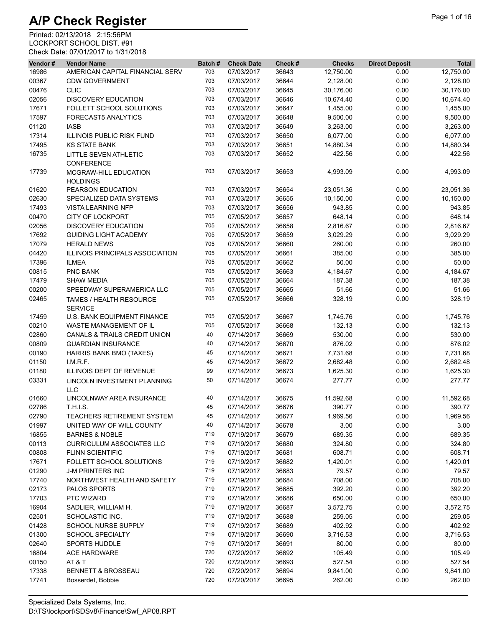| Vendor# | <b>Vendor Name</b>                                | Batch# | <b>Check Date</b> | Check # | <b>Checks</b> | <b>Direct Deposit</b> | <b>Total</b> |
|---------|---------------------------------------------------|--------|-------------------|---------|---------------|-----------------------|--------------|
| 16986   | AMERICAN CAPITAL FINANCIAL SERV                   | 703    | 07/03/2017        | 36643   | 12,750.00     | 0.00                  | 12,750.00    |
| 00367   | <b>CDW GOVERNMENT</b>                             | 703    | 07/03/2017        | 36644   | 2,128.00      | 0.00                  | 2,128.00     |
| 00476   | <b>CLIC</b>                                       | 703    | 07/03/2017        | 36645   | 30,176.00     | 0.00                  | 30,176.00    |
| 02056   | <b>DISCOVERY EDUCATION</b>                        | 703    | 07/03/2017        | 36646   | 10,674.40     | 0.00                  | 10,674.40    |
| 17671   | FOLLETT SCHOOL SOLUTIONS                          | 703    | 07/03/2017        | 36647   | 1,455.00      | 0.00                  | 1,455.00     |
| 17597   | <b>FORECAST5 ANALYTICS</b>                        | 703    | 07/03/2017        | 36648   | 9,500.00      | 0.00                  | 9,500.00     |
| 01120   | <b>IASB</b>                                       | 703    | 07/03/2017        | 36649   | 3,263.00      | 0.00                  | 3,263.00     |
| 17314   | <b>ILLINOIS PUBLIC RISK FUND</b>                  | 703    | 07/03/2017        | 36650   | 6,077.00      | 0.00                  | 6,077.00     |
| 17495   | <b>KS STATE BANK</b>                              | 703    | 07/03/2017        | 36651   | 14,880.34     | 0.00                  | 14,880.34    |
| 16735   | <b>LITTLE SEVEN ATHLETIC</b><br><b>CONFERENCE</b> | 703    | 07/03/2017        | 36652   | 422.56        | 0.00                  | 422.56       |
| 17739   | MCGRAW-HILL EDUCATION<br><b>HOLDINGS</b>          | 703    | 07/03/2017        | 36653   | 4,993.09      | 0.00                  | 4,993.09     |
| 01620   | PEARSON EDUCATION                                 | 703    | 07/03/2017        | 36654   | 23,051.36     | 0.00                  | 23,051.36    |
| 02630   | SPECIALIZED DATA SYSTEMS                          | 703    | 07/03/2017        | 36655   | 10,150.00     | 0.00                  | 10,150.00    |
| 17493   | <b>VISTA LEARNING NFP</b>                         | 703    | 07/03/2017        | 36656   | 943.85        | 0.00                  | 943.85       |
| 00470   | <b>CITY OF LOCKPORT</b>                           | 705    | 07/05/2017        | 36657   | 648.14        | 0.00                  | 648.14       |
| 02056   | <b>DISCOVERY EDUCATION</b>                        | 705    | 07/05/2017        | 36658   | 2,816.67      | 0.00                  | 2,816.67     |
| 17692   | <b>GUIDING LIGHT ACADEMY</b>                      | 705    | 07/05/2017        | 36659   | 3,029.29      | 0.00                  | 3,029.29     |
| 17079   | <b>HERALD NEWS</b>                                | 705    | 07/05/2017        | 36660   | 260.00        | 0.00                  | 260.00       |
| 04420   | <b>ILLINOIS PRINCIPALS ASSOCIATION</b>            | 705    | 07/05/2017        | 36661   | 385.00        | 0.00                  | 385.00       |
| 17396   | <b>ILMEA</b>                                      | 705    | 07/05/2017        | 36662   | 50.00         | 0.00                  | 50.00        |
| 00815   | PNC BANK                                          | 705    | 07/05/2017        | 36663   | 4,184.67      | 0.00                  | 4,184.67     |
| 17479   | <b>SHAW MEDIA</b>                                 | 705    | 07/05/2017        | 36664   | 187.38        | 0.00                  | 187.38       |
| 00200   | SPEEDWAY SUPERAMERICA LLC                         | 705    | 07/05/2017        | 36665   | 51.66         | 0.00                  | 51.66        |
| 02465   | TAMES / HEALTH RESOURCE<br><b>SERVICE</b>         | 705    | 07/05/2017        | 36666   | 328.19        | 0.00                  | 328.19       |
| 17459   | <b>U.S. BANK EQUIPMENT FINANCE</b>                | 705    | 07/05/2017        | 36667   | 1,745.76      | 0.00                  | 1,745.76     |
| 00210   | WASTE MANAGEMENT OF IL                            | 705    | 07/05/2017        | 36668   | 132.13        | 0.00                  | 132.13       |
| 02860   | CANALS & TRAILS CREDIT UNION                      | 40     | 07/14/2017        | 36669   | 530.00        | 0.00                  | 530.00       |
| 00809   | <b>GUARDIAN INSURANCE</b>                         | 40     | 07/14/2017        | 36670   | 876.02        | 0.00                  | 876.02       |
| 00190   | HARRIS BANK BMO (TAXES)                           | 45     | 07/14/2017        | 36671   | 7,731.68      | 0.00                  | 7,731.68     |
| 01150   | LM.R.F.                                           | 45     | 07/14/2017        | 36672   | 2,682.48      | 0.00                  | 2,682.48     |
| 01180   | <b>ILLINOIS DEPT OF REVENUE</b>                   | 99     | 07/14/2017        | 36673   | 1,625.30      | 0.00                  | 1,625.30     |
| 03331   | LINCOLN INVESTMENT PLANNING<br><b>LLC</b>         | 50     | 07/14/2017        | 36674   | 277.77        | 0.00                  | 277.77       |
| 01660   | LINCOLNWAY AREA INSURANCE                         | 40     | 07/14/2017        | 36675   | 11,592.68     | 0.00                  | 11,592.68    |
| 02786   | T.H.I.S.                                          | 45     | 07/14/2017        | 36676   | 390.77        | 0.00                  | 390.77       |
| 02790   | TEACHERS RETIREMENT SYSTEM                        | 45     | 07/14/2017        | 36677   | 1,969.56      | 0.00                  | 1,969.56     |
| 01997   | UNITED WAY OF WILL COUNTY                         | 40     | 07/14/2017        | 36678   | 3.00          | 0.00                  | 3.00         |
| 16855   | <b>BARNES &amp; NOBLE</b>                         | 719    | 07/19/2017        | 36679   | 689.35        | 0.00                  | 689.35       |
| 00113   | <b>CURRICULUM ASSOCIATES LLC</b>                  | 719    | 07/19/2017        | 36680   | 324.80        | 0.00                  | 324.80       |
| 00808   | <b>FLINN SCIENTIFIC</b>                           | 719    | 07/19/2017        | 36681   | 608.71        | 0.00                  | 608.71       |
| 17671   | FOLLETT SCHOOL SOLUTIONS                          | 719    | 07/19/2017        | 36682   | 1,420.01      | 0.00                  | 1,420.01     |
| 01290   | <b>J-M PRINTERS INC</b>                           | 719    | 07/19/2017        | 36683   | 79.57         | 0.00                  | 79.57        |
| 17740   | NORTHWEST HEALTH AND SAFETY                       | 719    | 07/19/2017        | 36684   | 708.00        | 0.00                  | 708.00       |
| 02173   | <b>PALOS SPORTS</b>                               | 719    | 07/19/2017        | 36685   | 392.20        | 0.00                  | 392.20       |
| 17703   | PTC WIZARD                                        | 719    | 07/19/2017        | 36686   | 650.00        | 0.00                  | 650.00       |
| 16904   | SADLIER, WILLIAM H.                               | 719    | 07/19/2017        | 36687   | 3,572.75      | 0.00                  | 3,572.75     |
| 02501   | SCHOLASTIC INC.                                   | 719    | 07/19/2017        | 36688   | 259.05        | 0.00                  | 259.05       |
| 01428   | SCHOOL NURSE SUPPLY                               | 719    | 07/19/2017        | 36689   | 402.92        | 0.00                  | 402.92       |
| 01300   | <b>SCHOOL SPECIALTY</b>                           | 719    | 07/19/2017        | 36690   | 3,716.53      | 0.00                  | 3,716.53     |
| 02640   | <b>SPORTS HUDDLE</b>                              | 719    | 07/19/2017        | 36691   | 80.00         | 0.00                  | 80.00        |
| 16804   | ACE HARDWARE                                      | 720    | 07/20/2017        | 36692   | 105.49        | 0.00                  | 105.49       |
| 00150   | AT & T                                            | 720    | 07/20/2017        | 36693   | 527.54        | 0.00                  | 527.54       |
| 17338   | <b>BENNETT &amp; BROSSEAU</b>                     | 720    | 07/20/2017        | 36694   | 9,841.00      | 0.00                  | 9,841.00     |
| 17741   | Bosserdet, Bobbie                                 | 720    | 07/20/2017        | 36695   | 262.00        | 0.00                  | 262.00       |
|         |                                                   |        |                   |         |               |                       |              |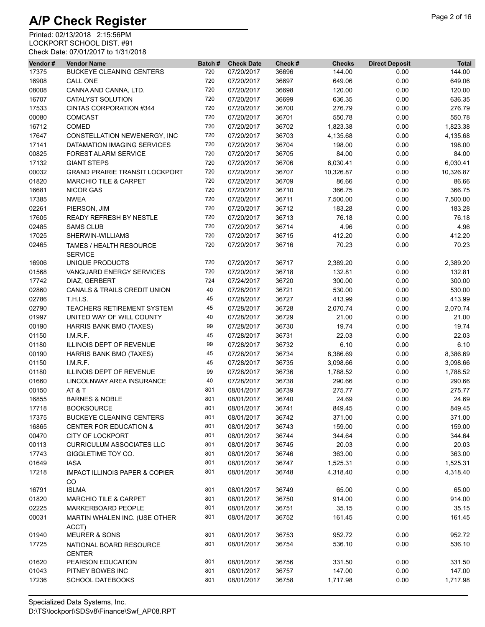| Vendor# | <b>Vendor Name</b>                               | Batch# | <b>Check Date</b> | Check # | <b>Checks</b> | <b>Direct Deposit</b> | <b>Total</b> |
|---------|--------------------------------------------------|--------|-------------------|---------|---------------|-----------------------|--------------|
| 17375   | <b>BUCKEYE CLEANING CENTERS</b>                  | 720    | 07/20/2017        | 36696   | 144.00        | 0.00                  | 144.00       |
| 16908   | <b>CALL ONE</b>                                  | 720    | 07/20/2017        | 36697   | 649.06        | 0.00                  | 649.06       |
| 08008   | CANNA AND CANNA, LTD.                            | 720    | 07/20/2017        | 36698   | 120.00        | 0.00                  | 120.00       |
| 16707   | CATALYST SOLUTION                                | 720    | 07/20/2017        | 36699   | 636.35        | 0.00                  | 636.35       |
| 17533   | CINTAS CORPORATION #344                          | 720    | 07/20/2017        | 36700   | 276.79        | 0.00                  | 276.79       |
| 00080   | <b>COMCAST</b>                                   | 720    | 07/20/2017        | 36701   | 550.78        | 0.00                  | 550.78       |
| 16712   | <b>COMED</b>                                     | 720    | 07/20/2017        | 36702   | 1,823.38      | 0.00                  | 1,823.38     |
| 17647   | CONSTELLATION NEWENERGY, INC                     | 720    | 07/20/2017        | 36703   | 4,135.68      | 0.00                  | 4,135.68     |
| 17141   | DATAMATION IMAGING SERVICES                      | 720    | 07/20/2017        | 36704   | 198.00        | 0.00                  | 198.00       |
| 00825   | <b>FOREST ALARM SERVICE</b>                      | 720    | 07/20/2017        | 36705   | 84.00         | 0.00                  | 84.00        |
| 17132   | <b>GIANT STEPS</b>                               | 720    | 07/20/2017        | 36706   | 6,030.41      | 0.00                  | 6,030.41     |
| 00032   | <b>GRAND PRAIRIE TRANSIT LOCKPORT</b>            | 720    | 07/20/2017        | 36707   | 10,326.87     | 0.00                  | 10,326.87    |
| 01820   | <b>MARCHIO TILE &amp; CARPET</b>                 | 720    | 07/20/2017        | 36709   | 86.66         | 0.00                  | 86.66        |
| 16681   | <b>NICOR GAS</b>                                 | 720    | 07/20/2017        | 36710   | 366.75        | 0.00                  | 366.75       |
| 17385   | <b>NWEA</b>                                      | 720    | 07/20/2017        | 36711   | 7,500.00      | 0.00                  | 7,500.00     |
| 02261   | PIERSON, JIM                                     | 720    | 07/20/2017        | 36712   | 183.28        | 0.00                  | 183.28       |
| 17605   | READY REFRESH BY NESTLE                          | 720    | 07/20/2017        | 36713   | 76.18         | 0.00                  | 76.18        |
| 02485   | <b>SAMS CLUB</b>                                 | 720    | 07/20/2017        | 36714   | 4.96          | 0.00                  | 4.96         |
| 17025   | SHERWIN-WILLIAMS                                 | 720    | 07/20/2017        | 36715   | 412.20        | 0.00                  | 412.20       |
| 02465   | TAMES / HEALTH RESOURCE<br><b>SERVICE</b>        | 720    | 07/20/2017        | 36716   | 70.23         | 0.00                  | 70.23        |
| 16906   | UNIQUE PRODUCTS                                  | 720    | 07/20/2017        | 36717   | 2,389.20      | 0.00                  | 2,389.20     |
| 01568   | VANGUARD ENERGY SERVICES                         | 720    | 07/20/2017        | 36718   | 132.81        | 0.00                  | 132.81       |
| 17742   | DIAZ, GERBERT                                    | 724    | 07/24/2017        | 36720   | 300.00        | 0.00                  | 300.00       |
| 02860   | CANALS & TRAILS CREDIT UNION                     | 40     | 07/28/2017        | 36721   | 530.00        | 0.00                  | 530.00       |
| 02786   | <b>T.H.I.S.</b>                                  | 45     | 07/28/2017        | 36727   | 413.99        | 0.00                  | 413.99       |
| 02790   | TEACHERS RETIREMENT SYSTEM                       | 45     | 07/28/2017        | 36728   | 2,070.74      | 0.00                  | 2,070.74     |
| 01997   | UNITED WAY OF WILL COUNTY                        | 40     | 07/28/2017        | 36729   | 21.00         | 0.00                  | 21.00        |
| 00190   | <b>HARRIS BANK BMO (TAXES)</b>                   | 99     | 07/28/2017        | 36730   | 19.74         | 0.00                  | 19.74        |
| 01150   | I.M.R.F.                                         | 45     | 07/28/2017        | 36731   | 22.03         | 0.00                  | 22.03        |
| 01180   | <b>ILLINOIS DEPT OF REVENUE</b>                  | 99     | 07/28/2017        | 36732   | 6.10          | 0.00                  | 6.10         |
| 00190   | HARRIS BANK BMO (TAXES)                          | 45     | 07/28/2017        | 36734   | 8,386.69      | 0.00                  | 8,386.69     |
| 01150   | LM.R.F.                                          | 45     | 07/28/2017        | 36735   | 3,098.66      | 0.00                  | 3,098.66     |
| 01180   | ILLINOIS DEPT OF REVENUE                         | 99     | 07/28/2017        | 36736   | 1,788.52      | 0.00                  | 1,788.52     |
| 01660   | LINCOLNWAY AREA INSURANCE                        | 40     | 07/28/2017        | 36738   | 290.66        | 0.00                  | 290.66       |
| 00150   | AT & T                                           | 801    | 08/01/2017        | 36739   | 275.77        | 0.00                  | 275.77       |
| 16855   | <b>BARNES &amp; NOBLE</b>                        | 801    | 08/01/2017        | 36740   | 24.69         | 0.00                  | 24.69        |
| 17718   | <b>BOOKSOURCE</b>                                | 801    | 08/01/2017        | 36741   | 849.45        | 0.00                  | 849.45       |
| 17375   | <b>BUCKEYE CLEANING CENTERS</b>                  | 801    | 08/01/2017        | 36742   | 371.00        | 0.00                  | 371.00       |
| 16865   | <b>CENTER FOR EDUCATION &amp;</b>                | 801    | 08/01/2017        | 36743   | 159.00        | 0.00                  | 159.00       |
| 00470   | CITY OF LOCKPORT                                 | 801    | 08/01/2017        | 36744   | 344.64        | 0.00                  | 344.64       |
| 00113   | <b>CURRICULUM ASSOCIATES LLC</b>                 | 801    | 08/01/2017        | 36745   | 20.03         | 0.00                  | 20.03        |
| 17743   | GIGGLETIME TOY CO.                               | 801    | 08/01/2017        | 36746   | 363.00        | 0.00                  | 363.00       |
| 01649   | <b>IASA</b>                                      | 801    | 08/01/2017        | 36747   | 1,525.31      | 0.00                  | 1,525.31     |
| 17218   | <b>IMPACT ILLINOIS PAPER &amp; COPIER</b><br>CO. | 801    | 08/01/2017        | 36748   | 4,318.40      | 0.00                  | 4,318.40     |
| 16791   | <b>ISLMA</b>                                     | 801    | 08/01/2017        | 36749   | 65.00         | 0.00                  | 65.00        |
| 01820   | <b>MARCHIO TILE &amp; CARPET</b>                 | 801    | 08/01/2017        | 36750   | 914.00        | 0.00                  | 914.00       |
| 02225   | MARKERBOARD PEOPLE                               | 801    | 08/01/2017        | 36751   | 35.15         | 0.00                  | 35.15        |
| 00031   | MARTIN WHALEN INC. (USE OTHER                    | 801    | 08/01/2017        | 36752   | 161.45        | 0.00                  | 161.45       |
|         | ACCT)                                            |        |                   |         |               |                       |              |
| 01940   | <b>MEURER &amp; SONS</b>                         | 801    | 08/01/2017        | 36753   | 952.72        | 0.00                  | 952.72       |
| 17725   | NATIONAL BOARD RESOURCE<br><b>CENTER</b>         | 801    | 08/01/2017        | 36754   | 536.10        | 0.00                  | 536.10       |
| 01620   | PEARSON EDUCATION                                | 801    | 08/01/2017        | 36756   | 331.50        | 0.00                  | 331.50       |
| 01043   | PITNEY BOWES INC                                 | 801    | 08/01/2017        | 36757   | 147.00        | 0.00                  | 147.00       |
| 17236   | <b>SCHOOL DATEBOOKS</b>                          | 801    | 08/01/2017        | 36758   | 1,717.98      | 0.00                  | 1,717.98     |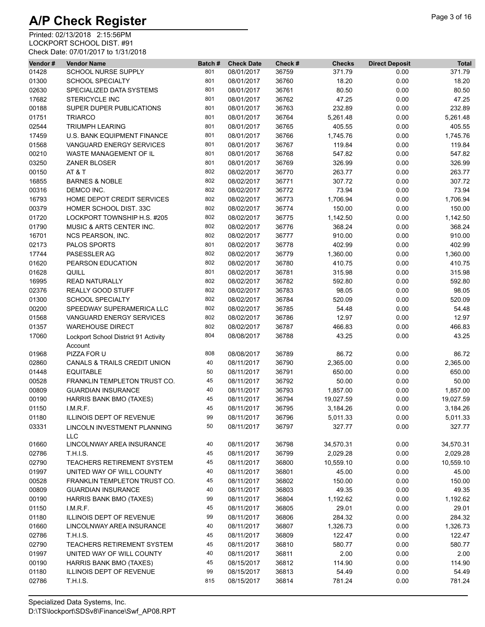| Vendor# | <b>Vendor Name</b>                              | Batch# | <b>Check Date</b> | Check # | <b>Checks</b> | <b>Direct Deposit</b> | <b>Total</b> |
|---------|-------------------------------------------------|--------|-------------------|---------|---------------|-----------------------|--------------|
| 01428   | SCHOOL NURSE SUPPLY                             | 801    | 08/01/2017        | 36759   | 371.79        | 0.00                  | 371.79       |
| 01300   | <b>SCHOOL SPECIALTY</b>                         | 801    | 08/01/2017        | 36760   | 18.20         | 0.00                  | 18.20        |
| 02630   | SPECIALIZED DATA SYSTEMS                        | 801    | 08/01/2017        | 36761   | 80.50         | 0.00                  | 80.50        |
| 17682   | <b>STERICYCLE INC</b>                           | 801    | 08/01/2017        | 36762   | 47.25         | 0.00                  | 47.25        |
| 00188   | SUPER DUPER PUBLICATIONS                        | 801    | 08/01/2017        | 36763   | 232.89        | 0.00                  | 232.89       |
| 01751   | <b>TRIARCO</b>                                  | 801    | 08/01/2017        | 36764   | 5,261.48      | 0.00                  | 5,261.48     |
| 02544   | <b>TRIUMPH LEARING</b>                          | 801    | 08/01/2017        | 36765   | 405.55        | 0.00                  | 405.55       |
| 17459   | U.S. BANK EQUIPMENT FINANCE                     | 801    | 08/01/2017        | 36766   | 1,745.76      | 0.00                  | 1,745.76     |
| 01568   | VANGUARD ENERGY SERVICES                        | 801    | 08/01/2017        | 36767   | 119.84        | 0.00                  | 119.84       |
| 00210   | WASTE MANAGEMENT OF IL                          | 801    | 08/01/2017        | 36768   | 547.82        | 0.00                  | 547.82       |
|         |                                                 | 801    |                   |         |               |                       | 326.99       |
| 03250   | <b>ZANER BLOSER</b>                             |        | 08/01/2017        | 36769   | 326.99        | 0.00                  |              |
| 00150   | AT&T                                            | 802    | 08/02/2017        | 36770   | 263.77        | 0.00                  | 263.77       |
| 16855   | <b>BARNES &amp; NOBLE</b>                       | 802    | 08/02/2017        | 36771   | 307.72        | 0.00                  | 307.72       |
| 00316   | DEMCO INC.                                      | 802    | 08/02/2017        | 36772   | 73.94         | 0.00                  | 73.94        |
| 16793   | HOME DEPOT CREDIT SERVICES                      | 802    | 08/02/2017        | 36773   | 1,706.94      | 0.00                  | 1,706.94     |
| 00379   | HOMER SCHOOL DIST. 33C                          | 802    | 08/02/2017        | 36774   | 150.00        | 0.00                  | 150.00       |
| 01720   | LOCKPORT TOWNSHIP H.S. #205                     | 802    | 08/02/2017        | 36775   | 1,142.50      | 0.00                  | 1,142.50     |
| 01790   | MUSIC & ARTS CENTER INC.                        | 802    | 08/02/2017        | 36776   | 368.24        | 0.00                  | 368.24       |
| 16701   | NCS PEARSON, INC.                               | 802    | 08/02/2017        | 36777   | 910.00        | 0.00                  | 910.00       |
| 02173   | PALOS SPORTS                                    | 801    | 08/02/2017        | 36778   | 402.99        | 0.00                  | 402.99       |
| 17744   | PASESSLER AG                                    | 802    | 08/02/2017        | 36779   | 1,360.00      | 0.00                  | 1,360.00     |
| 01620   | PEARSON EDUCATION                               | 802    | 08/02/2017        | 36780   | 410.75        | 0.00                  | 410.75       |
| 01628   | QUILL                                           | 801    | 08/02/2017        | 36781   | 315.98        | 0.00                  | 315.98       |
| 16995   | <b>READ NATURALLY</b>                           | 802    | 08/02/2017        | 36782   | 592.80        | 0.00                  | 592.80       |
| 02376   | REALLY GOOD STUFF                               | 802    | 08/02/2017        | 36783   | 98.05         | 0.00                  | 98.05        |
| 01300   | <b>SCHOOL SPECIALTY</b>                         | 802    | 08/02/2017        | 36784   | 520.09        | 0.00                  | 520.09       |
| 00200   | SPEEDWAY SUPERAMERICA LLC                       | 802    | 08/02/2017        | 36785   | 54.48         | 0.00                  | 54.48        |
| 01568   | VANGUARD ENERGY SERVICES                        | 802    | 08/02/2017        | 36786   | 12.97         | 0.00                  | 12.97        |
| 01357   | <b>WAREHOUSE DIRECT</b>                         | 802    | 08/02/2017        | 36787   | 466.83        | 0.00                  | 466.83       |
|         |                                                 | 804    |                   | 36788   |               | 0.00                  |              |
| 17060   | Lockport School District 91 Activity<br>Account |        | 08/08/2017        |         | 43.25         |                       | 43.25        |
| 01968   | PIZZA FOR U                                     | 808    | 08/08/2017        | 36789   | 86.72         | 0.00                  | 86.72        |
| 02860   | CANALS & TRAILS CREDIT UNION                    | 40     | 08/11/2017        | 36790   | 2,365.00      | 0.00                  | 2,365.00     |
| 01448   | <b>EQUITABLE</b>                                | 50     | 08/11/2017        | 36791   | 650.00        | 0.00                  | 650.00       |
| 00528   | FRANKLIN TEMPLETON TRUST CO.                    | 45     | 08/11/2017        | 36792   | 50.00         | 0.00                  | 50.00        |
| 00809   | <b>GUARDIAN INSURANCE</b>                       | 40     | 08/11/2017        | 36793   | 1,857.00      | 0.00                  | 1,857.00     |
| 00190   | <b>HARRIS BANK BMO (TAXES)</b>                  | 45     | 08/11/2017        | 36794   | 19,027.59     | 0.00                  | 19,027.59    |
| 01150   | I.M.R.F.                                        | 45     | 08/11/2017        | 36795   | 3,184.26      | 0.00                  | 3,184.26     |
| 01180   | ILLINOIS DEPT OF REVENUE                        | 99     | 08/11/2017        | 36796   | 5,011.33      | 0.00                  | 5,011.33     |
| 03331   |                                                 | 50     | 08/11/2017        | 36797   | 327.77        | 0.00                  | 327.77       |
|         | LINCOLN INVESTMENT PLANNING<br>LLC              |        |                   |         |               |                       |              |
| 01660   | LINCOLNWAY AREA INSURANCE                       | 40     | 08/11/2017        | 36798   | 34,570.31     | 0.00                  | 34,570.31    |
| 02786   | <b>T.H.I.S.</b>                                 | 45     | 08/11/2017        | 36799   | 2,029.28      | 0.00                  | 2,029.28     |
| 02790   | TEACHERS RETIREMENT SYSTEM                      | 45     | 08/11/2017        | 36800   | 10,559.10     | 0.00                  | 10,559.10    |
| 01997   | UNITED WAY OF WILL COUNTY                       | 40     | 08/11/2017        | 36801   | 45.00         | 0.00                  | 45.00        |
| 00528   | FRANKLIN TEMPLETON TRUST CO.                    | 45     | 08/11/2017        | 36802   | 150.00        | 0.00                  | 150.00       |
| 00809   | <b>GUARDIAN INSURANCE</b>                       | 40     | 08/11/2017        | 36803   | 49.35         | 0.00                  | 49.35        |
| 00190   | HARRIS BANK BMO (TAXES)                         | 99     | 08/11/2017        | 36804   | 1,192.62      | 0.00                  | 1,192.62     |
| 01150   | LM.R.F.                                         | 45     | 08/11/2017        | 36805   | 29.01         | 0.00                  | 29.01        |
| 01180   | ILLINOIS DEPT OF REVENUE                        | 99     | 08/11/2017        | 36806   | 284.32        | 0.00                  | 284.32       |
|         |                                                 | 40     |                   |         |               |                       |              |
| 01660   | LINCOLNWAY AREA INSURANCE                       |        | 08/11/2017        | 36807   | 1,326.73      | 0.00                  | 1,326.73     |
| 02786   | T.H.I.S.                                        | 45     | 08/11/2017        | 36809   | 122.47        | 0.00                  | 122.47       |
| 02790   | TEACHERS RETIREMENT SYSTEM                      | 45     | 08/11/2017        | 36810   | 580.77        | 0.00                  | 580.77       |
| 01997   | UNITED WAY OF WILL COUNTY                       | 40     | 08/11/2017        | 36811   | 2.00          | 0.00                  | 2.00         |
| 00190   | <b>HARRIS BANK BMO (TAXES)</b>                  | 45     | 08/15/2017        | 36812   | 114.90        | 0.00                  | 114.90       |
| 01180   | ILLINOIS DEPT OF REVENUE                        | 99     | 08/15/2017        | 36813   | 54.49         | 0.00                  | 54.49        |
| 02786   | T.H.I.S.                                        | 815    | 08/15/2017        | 36814   | 781.24        | 0.00                  | 781.24       |
|         |                                                 |        |                   |         |               |                       |              |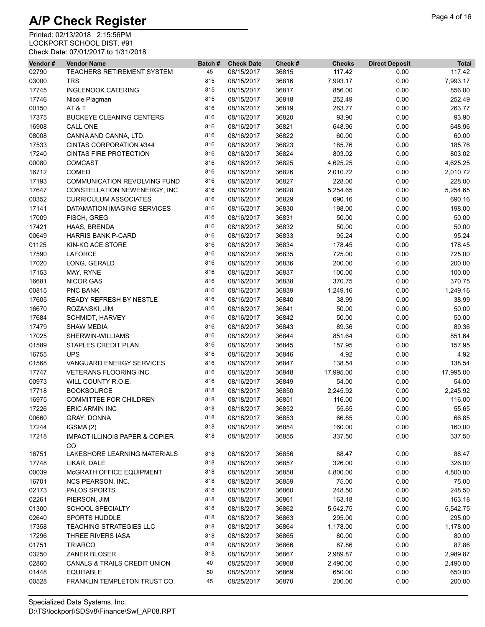| Vendor# | <b>Vendor Name</b>                              | Batch# | <b>Check Date</b> | Check # | <b>Checks</b> | <b>Direct Deposit</b> | <b>Total</b> |
|---------|-------------------------------------------------|--------|-------------------|---------|---------------|-----------------------|--------------|
| 02790   | TEACHERS RETIREMENT SYSTEM                      | 45     | 08/15/2017        | 36815   | 117.42        | 0.00                  | 117.42       |
| 03000   | <b>TRS</b>                                      | 815    | 08/15/2017        | 36816   | 7,993.17      | 0.00                  | 7,993.17     |
| 17745   | <b>INGLENOOK CATERING</b>                       | 815    | 08/15/2017        | 36817   | 856.00        | 0.00                  | 856.00       |
| 17746   | Nicole Plagman                                  | 815    | 08/15/2017        | 36818   | 252.49        | 0.00                  | 252.49       |
| 00150   | AT&T                                            | 816    | 08/16/2017        | 36819   | 263.77        | 0.00                  | 263.77       |
| 17375   | <b>BUCKEYE CLEANING CENTERS</b>                 | 816    | 08/16/2017        | 36820   | 93.90         | 0.00                  | 93.90        |
| 16908   | <b>CALL ONE</b>                                 | 816    | 08/16/2017        | 36821   | 648.96        | 0.00                  | 648.96       |
| 08008   | CANNA AND CANNA, LTD.                           | 816    | 08/16/2017        | 36822   | 60.00         | 0.00                  | 60.00        |
| 17533   | CINTAS CORPORATION #344                         | 816    | 08/16/2017        | 36823   | 185.76        | 0.00                  | 185.76       |
| 17240   | <b>CINTAS FIRE PROTECTION</b>                   | 816    | 08/16/2017        | 36824   | 803.02        | 0.00                  | 803.02       |
| 00080   | <b>COMCAST</b>                                  | 816    | 08/16/2017        | 36825   | 4,625.25      | 0.00                  | 4,625.25     |
| 16712   | <b>COMED</b>                                    | 816    | 08/16/2017        | 36826   | 2,010.72      | 0.00                  | 2,010.72     |
| 17193   | COMMUNICATION REVOLVING FUND                    | 816    | 08/16/2017        | 36827   | 228.00        | 0.00                  | 228.00       |
| 17647   | CONSTELLATION NEWENERGY, INC                    | 816    | 08/16/2017        | 36828   | 5,254.65      | 0.00                  | 5,254.65     |
| 00352   | <b>CURRICULUM ASSOCIATES</b>                    | 816    | 08/16/2017        | 36829   | 690.16        | 0.00                  | 690.16       |
| 17141   | DATAMATION IMAGING SERVICES                     | 816    | 08/16/2017        | 36830   | 198.00        | 0.00                  | 198.00       |
| 17009   | FISCH, GREG                                     | 816    | 08/16/2017        | 36831   | 50.00         | 0.00                  | 50.00        |
| 17421   | HAAS, BRENDA                                    | 816    | 08/16/2017        | 36832   | 50.00         | 0.00                  | 50.00        |
| 00649   | <b>HARRIS BANK P-CARD</b>                       | 816    | 08/16/2017        | 36833   | 95.24         | 0.00                  | 95.24        |
| 01125   | KIN-KO ACE STORE                                | 816    | 08/16/2017        | 36834   | 178.45        | 0.00                  | 178.45       |
| 17590   | <b>LAFORCE</b>                                  | 816    | 08/16/2017        | 36835   | 725.00        | 0.00                  | 725.00       |
| 17020   | LONG, GERALD                                    | 816    | 08/16/2017        | 36836   | 200.00        | 0.00                  | 200.00       |
| 17153   | MAY, RYNE                                       | 816    | 08/16/2017        | 36837   | 100.00        | 0.00                  | 100.00       |
| 16681   | <b>NICOR GAS</b>                                | 816    | 08/16/2017        | 36838   | 370.75        | 0.00                  | 370.75       |
| 00815   | PNC BANK                                        | 816    | 08/16/2017        | 36839   | 1,249.16      | 0.00                  | 1,249.16     |
| 17605   | READY REFRESH BY NESTLE                         | 816    | 08/16/2017        | 36840   | 38.99         | 0.00                  | 38.99        |
| 16670   | ROZANSKI, JIM                                   | 816    | 08/16/2017        | 36841   | 50.00         | 0.00                  | 50.00        |
| 17684   | <b>SCHMIDT, HARVEY</b>                          | 816    | 08/16/2017        | 36842   | 50.00         | 0.00                  | 50.00        |
| 17479   | SHAW MEDIA                                      | 816    | 08/16/2017        | 36843   | 89.36         | 0.00                  | 89.36        |
| 17025   | SHERWIN-WILLIAMS                                | 816    | 08/16/2017        | 36844   | 851.64        | 0.00                  | 851.64       |
| 01589   | STAPLES CREDIT PLAN                             | 816    | 08/16/2017        | 36845   | 157.95        | 0.00                  | 157.95       |
| 16755   | <b>UPS</b>                                      | 816    | 08/16/2017        | 36846   | 4.92          | 0.00                  | 4.92         |
| 01568   | VANGUARD ENERGY SERVICES                        | 816    | 08/16/2017        | 36847   | 138.54        | 0.00                  | 138.54       |
| 17747   | VETERANS FLOORING INC.                          | 816    | 08/16/2017        | 36848   | 17,995.00     | 0.00                  | 17,995.00    |
| 00973   | WILL COUNTY R.O.E.                              | 816    | 08/16/2017        | 36849   | 54.00         | 0.00                  | 54.00        |
| 17718   | <b>BOOKSOURCE</b>                               | 818    | 08/18/2017        | 36850   | 2,245.92      | 0.00                  | 2,245.92     |
| 16975   | <b>COMMITTEE FOR CHILDREN</b>                   | 818    | 08/18/2017        | 36851   | 116.00        | 0.00                  | 116.00       |
| 17226   | <b>ERIC ARMIN INC</b>                           | 818    | 08/18/2017        | 36852   | 55.65         | 0.00                  | 55.65        |
| 00660   | GRAY, DONNA                                     | 818    | 08/18/2017        | 36853   | 66.85         | 0.00                  | 66.85        |
| 17244   | IGSMA(2)                                        | 818    | 08/18/2017        | 36854   | 160.00        | 0.00                  | 160.00       |
| 17218   | <b>IMPACT ILLINOIS PAPER &amp; COPIER</b><br>CO | 818    | 08/18/2017        | 36855   | 337.50        | 0.00                  | 337.50       |
| 16751   | LAKESHORE LEARNING MATERIALS                    | 818    | 08/18/2017        | 36856   | 88.47         | 0.00                  | 88.47        |
| 17748   | LIKAR, DALE                                     | 818    | 08/18/2017        | 36857   | 326.00        | 0.00                  | 326.00       |
| 00039   | McGRATH OFFICE EQUIPMENT                        | 818    | 08/18/2017        | 36858   | 4,800.00      | 0.00                  | 4,800.00     |
| 16701   | NCS PEARSON, INC.                               | 818    | 08/18/2017        | 36859   | 75.00         | 0.00                  | 75.00        |
| 02173   | PALOS SPORTS                                    | 818    | 08/18/2017        | 36860   | 248.50        | 0.00                  | 248.50       |
| 02261   | PIERSON, JIM                                    | 818    | 08/18/2017        | 36861   | 163.18        | 0.00                  | 163.18       |
| 01300   | <b>SCHOOL SPECIALTY</b>                         | 818    | 08/18/2017        | 36862   | 5,542.75      | 0.00                  | 5,542.75     |
| 02640   | <b>SPORTS HUDDLE</b>                            | 818    | 08/18/2017        | 36863   | 295.00        | 0.00                  | 295.00       |
| 17358   | <b>TEACHING STRATEGIES LLC</b>                  | 818    | 08/18/2017        | 36864   | 1,178.00      | 0.00                  | 1,178.00     |
| 17296   | THREE RIVERS IASA                               | 818    | 08/18/2017        | 36865   | 80.00         | 0.00                  | 80.00        |
| 01751   | <b>TRIARCO</b>                                  | 818    | 08/18/2017        | 36866   | 87.86         | 0.00                  | 87.86        |
| 03250   | <b>ZANER BLOSER</b>                             | 818    | 08/18/2017        | 36867   | 2,989.87      | 0.00                  | 2,989.87     |
| 02860   | CANALS & TRAILS CREDIT UNION                    | 40     | 08/25/2017        | 36868   | 2,490.00      | 0.00                  | 2,490.00     |
| 01448   | <b>EQUITABLE</b>                                | 50     | 08/25/2017        | 36869   | 650.00        | 0.00                  | 650.00       |
| 00528   | FRANKLIN TEMPLETON TRUST CO.                    | 45     | 08/25/2017        | 36870   | 200.00        | 0.00                  | 200.00       |
|         |                                                 |        |                   |         |               |                       |              |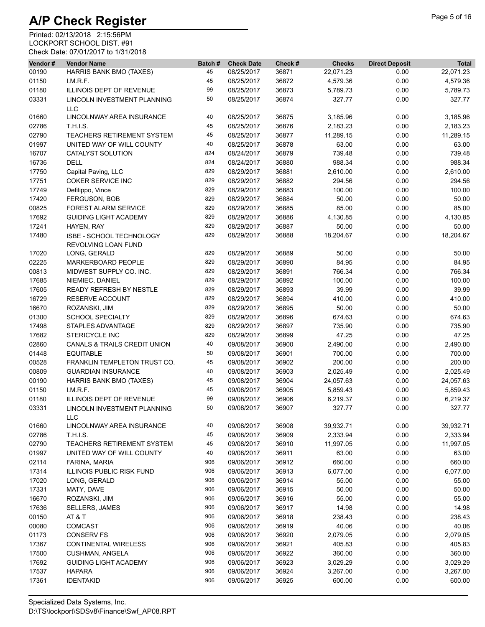| Vendor# | <b>Vendor Name</b>                              | Batch# | <b>Check Date</b> | Check # | <b>Checks</b> | <b>Direct Deposit</b> | <b>Total</b> |
|---------|-------------------------------------------------|--------|-------------------|---------|---------------|-----------------------|--------------|
| 00190   | HARRIS BANK BMO (TAXES)                         | 45     | 08/25/2017        | 36871   | 22,071.23     | 0.00                  | 22,071.23    |
| 01150   | I.M.R.F.                                        | 45     | 08/25/2017        | 36872   | 4,579.36      | 0.00                  | 4,579.36     |
| 01180   | ILLINOIS DEPT OF REVENUE                        | 99     | 08/25/2017        | 36873   | 5,789.73      | 0.00                  | 5,789.73     |
| 03331   | LINCOLN INVESTMENT PLANNING<br><b>LLC</b>       | 50     | 08/25/2017        | 36874   | 327.77        | 0.00                  | 327.77       |
| 01660   | LINCOLNWAY AREA INSURANCE                       | 40     | 08/25/2017        | 36875   | 3,185.96      | 0.00                  | 3,185.96     |
| 02786   | <b>T.H.I.S.</b>                                 | 45     | 08/25/2017        | 36876   | 2,183.23      | 0.00                  | 2,183.23     |
| 02790   | TEACHERS RETIREMENT SYSTEM                      | 45     | 08/25/2017        | 36877   | 11,289.15     | 0.00                  | 11,289.15    |
| 01997   | UNITED WAY OF WILL COUNTY                       | 40     | 08/25/2017        | 36878   | 63.00         | 0.00                  | 63.00        |
| 16707   | CATALYST SOLUTION                               | 824    | 08/24/2017        | 36879   | 739.48        | 0.00                  | 739.48       |
| 16736   | <b>DELL</b>                                     | 824    | 08/24/2017        | 36880   | 988.34        | 0.00                  | 988.34       |
| 17750   | Capital Paving, LLC                             | 829    | 08/29/2017        | 36881   | 2,610.00      | 0.00                  | 2,610.00     |
| 17751   | <b>COKER SERVICE INC</b>                        | 829    | 08/29/2017        | 36882   | 294.56        | 0.00                  | 294.56       |
| 17749   | Defilippo, Vince                                | 829    | 08/29/2017        | 36883   | 100.00        | 0.00                  | 100.00       |
| 17420   | FERGUSON, BOB                                   | 829    | 08/29/2017        | 36884   | 50.00         | 0.00                  | 50.00        |
| 00825   | <b>FOREST ALARM SERVICE</b>                     | 829    | 08/29/2017        | 36885   | 85.00         | 0.00                  | 85.00        |
| 17692   | <b>GUIDING LIGHT ACADEMY</b>                    | 829    | 08/29/2017        | 36886   | 4,130.85      | 0.00                  | 4,130.85     |
| 17241   | HAYEN, RAY                                      | 829    | 08/29/2017        | 36887   | 50.00         | 0.00                  | 50.00        |
| 17480   | ISBE - SCHOOL TECHNOLOGY<br>REVOLVING LOAN FUND | 829    | 08/29/2017        | 36888   | 18,204.67     | 0.00                  | 18,204.67    |
| 17020   | LONG, GERALD                                    | 829    | 08/29/2017        | 36889   | 50.00         | 0.00                  | 50.00        |
| 02225   | MARKERBOARD PEOPLE                              | 829    | 08/29/2017        | 36890   | 84.95         | 0.00                  | 84.95        |
| 00813   | MIDWEST SUPPLY CO. INC.                         | 829    | 08/29/2017        | 36891   | 766.34        | 0.00                  | 766.34       |
| 17685   | NIEMIEC, DANIEL                                 | 829    | 08/29/2017        | 36892   | 100.00        | 0.00                  | 100.00       |
| 17605   | <b>READY REFRESH BY NESTLE</b>                  | 829    | 08/29/2017        | 36893   | 39.99         | 0.00                  | 39.99        |
| 16729   | RESERVE ACCOUNT                                 | 829    | 08/29/2017        | 36894   | 410.00        | 0.00                  | 410.00       |
| 16670   | ROZANSKI, JIM                                   | 829    | 08/29/2017        | 36895   | 50.00         | 0.00                  | 50.00        |
| 01300   | SCHOOL SPECIALTY                                | 829    | 08/29/2017        | 36896   | 674.63        | 0.00                  | 674.63       |
| 17498   | STAPLES ADVANTAGE                               | 829    | 08/29/2017        | 36897   | 735.90        | 0.00                  | 735.90       |
| 17682   | <b>STERICYCLE INC</b>                           | 829    | 08/29/2017        | 36899   | 47.25         | 0.00                  | 47.25        |
| 02860   | CANALS & TRAILS CREDIT UNION                    | 40     | 09/08/2017        | 36900   | 2,490.00      | 0.00                  | 2,490.00     |
| 01448   | <b>EQUITABLE</b>                                | 50     | 09/08/2017        | 36901   | 700.00        | 0.00                  | 700.00       |
| 00528   | FRANKLIN TEMPLETON TRUST CO.                    | 45     | 09/08/2017        | 36902   | 200.00        | 0.00                  | 200.00       |
| 00809   | <b>GUARDIAN INSURANCE</b>                       | 40     | 09/08/2017        | 36903   | 2,025.49      | 0.00                  | 2,025.49     |
| 00190   | HARRIS BANK BMO (TAXES)                         | 45     | 09/08/2017        | 36904   | 24,057.63     | 0.00                  | 24,057.63    |
| 01150   | LM.R.F.                                         | 45     | 09/08/2017        | 36905   | 5,859.43      | 0.00                  | 5,859.43     |
| 01180   | <b>ILLINOIS DEPT OF REVENUE</b>                 | 99     | 09/08/2017        | 36906   | 6,219.37      | 0.00                  | 6,219.37     |
| 03331   | LINCOLN INVESTMENT PLANNING<br><b>LLC</b>       | 50     | 09/08/2017        | 36907   | 327.77        | 0.00                  | 327.77       |
| 01660   | LINCOLNWAY AREA INSURANCE                       | 40     | 09/08/2017        | 36908   | 39,932.71     | 0.00                  | 39,932.71    |
| 02786   | <b>T.H.I.S.</b>                                 | 45     | 09/08/2017        | 36909   | 2,333.94      | 0.00                  | 2,333.94     |
| 02790   | <b>TEACHERS RETIREMENT SYSTEM</b>               | 45     | 09/08/2017        | 36910   | 11,997.05     | 0.00                  | 11,997.05    |
| 01997   | UNITED WAY OF WILL COUNTY                       | 40     | 09/08/2017        | 36911   | 63.00         | 0.00                  | 63.00        |
| 02114   | FARINA, MARIA                                   | 906    | 09/06/2017        | 36912   | 660.00        | 0.00                  | 660.00       |
| 17314   | <b>ILLINOIS PUBLIC RISK FUND</b>                | 906    | 09/06/2017        | 36913   | 6,077.00      | 0.00                  | 6,077.00     |
| 17020   | LONG, GERALD                                    | 906    | 09/06/2017        | 36914   | 55.00         | 0.00                  | 55.00        |
| 17331   | MATY, DAVE                                      | 906    | 09/06/2017        | 36915   | 50.00         | 0.00                  | 50.00        |
| 16670   | ROZANSKI, JIM                                   | 906    | 09/06/2017        | 36916   | 55.00         | 0.00                  | 55.00        |
| 17636   | SELLERS, JAMES                                  | 906    | 09/06/2017        | 36917   | 14.98         | 0.00                  | 14.98        |
| 00150   | AT & T                                          | 906    | 09/06/2017        | 36918   | 238.43        | 0.00                  | 238.43       |
| 00080   | COMCAST                                         | 906    | 09/06/2017        | 36919   | 40.06         | 0.00                  | 40.06        |
| 01173   | <b>CONSERV FS</b>                               | 906    | 09/06/2017        | 36920   | 2,079.05      | 0.00                  | 2,079.05     |
| 17367   | <b>CONTINENTAL WIRELESS</b>                     | 906    | 09/06/2017        | 36921   | 405.83        | 0.00                  | 405.83       |
| 17500   | <b>CUSHMAN, ANGELA</b>                          | 906    | 09/06/2017        | 36922   | 360.00        | 0.00                  | 360.00       |
| 17692   | <b>GUIDING LIGHT ACADEMY</b>                    | 906    | 09/06/2017        | 36923   | 3,029.29      | 0.00                  | 3,029.29     |
| 17537   | <b>HAPARA</b>                                   | 906    | 09/06/2017        | 36924   | 3,267.00      | 0.00                  | 3,267.00     |
| 17361   | <b>IDENTAKID</b>                                | 906    | 09/06/2017        | 36925   | 600.00        | 0.00                  | 600.00       |
|         |                                                 |        |                   |         |               |                       |              |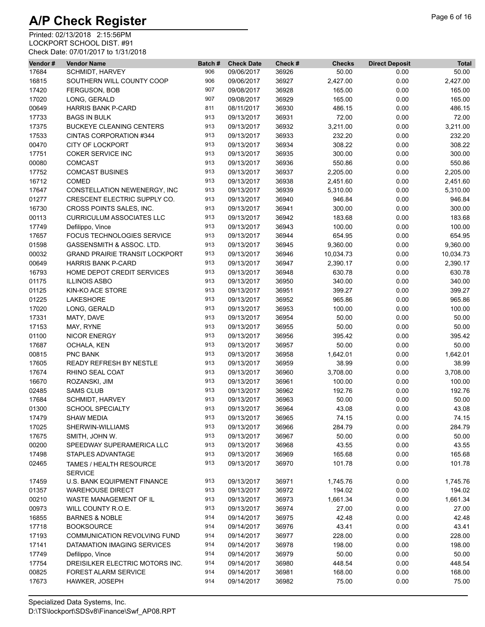| Vendor# | <b>Vendor Name</b>                    | Batch# | <b>Check Date</b> | Check # | <b>Checks</b> | <b>Direct Deposit</b> | <b>Total</b> |
|---------|---------------------------------------|--------|-------------------|---------|---------------|-----------------------|--------------|
| 17684   | <b>SCHMIDT, HARVEY</b>                | 906    | 09/06/2017        | 36926   | 50.00         | 0.00                  | 50.00        |
| 16815   | SOUTHERN WILL COUNTY COOP             | 906    | 09/06/2017        | 36927   | 2,427.00      | 0.00                  | 2,427.00     |
| 17420   | <b>FERGUSON, BOB</b>                  | 907    | 09/08/2017        | 36928   | 165.00        | 0.00                  | 165.00       |
| 17020   | LONG, GERALD                          | 907    | 09/08/2017        | 36929   | 165.00        | 0.00                  | 165.00       |
| 00649   | <b>HARRIS BANK P-CARD</b>             | 811    | 08/11/2017        | 36930   | 486.15        | 0.00                  | 486.15       |
| 17733   | <b>BAGS IN BULK</b>                   | 913    | 09/13/2017        | 36931   | 72.00         | 0.00                  | 72.00        |
| 17375   | <b>BUCKEYE CLEANING CENTERS</b>       | 913    | 09/13/2017        | 36932   | 3,211.00      | 0.00                  | 3,211.00     |
| 17533   | CINTAS CORPORATION #344               | 913    | 09/13/2017        | 36933   | 232.20        | 0.00                  | 232.20       |
|         | <b>CITY OF LOCKPORT</b>               | 913    | 09/13/2017        |         |               |                       |              |
| 00470   |                                       |        |                   | 36934   | 308.22        | 0.00                  | 308.22       |
| 17751   | <b>COKER SERVICE INC</b>              | 913    | 09/13/2017        | 36935   | 300.00        | 0.00                  | 300.00       |
| 00080   | <b>COMCAST</b>                        | 913    | 09/13/2017        | 36936   | 550.86        | 0.00                  | 550.86       |
| 17752   | <b>COMCAST BUSINES</b>                | 913    | 09/13/2017        | 36937   | 2,205.00      | 0.00                  | 2,205.00     |
| 16712   | <b>COMED</b>                          | 913    | 09/13/2017        | 36938   | 2,451.60      | 0.00                  | 2,451.60     |
| 17647   | CONSTELLATION NEWENERGY, INC          | 913    | 09/13/2017        | 36939   | 5,310.00      | 0.00                  | 5,310.00     |
| 01277   | CRESCENT ELECTRIC SUPPLY CO.          | 913    | 09/13/2017        | 36940   | 946.84        | 0.00                  | 946.84       |
| 16730   | CROSS POINTS SALES, INC.              | 913    | 09/13/2017        | 36941   | 300.00        | 0.00                  | 300.00       |
| 00113   | <b>CURRICULUM ASSOCIATES LLC</b>      | 913    | 09/13/2017        | 36942   | 183.68        | 0.00                  | 183.68       |
| 17749   | Defilippo, Vince                      | 913    | 09/13/2017        | 36943   | 100.00        | 0.00                  | 100.00       |
| 17657   | FOCUS TECHNOLOGIES SERVICE            | 913    | 09/13/2017        | 36944   | 654.95        | 0.00                  | 654.95       |
| 01598   | GASSENSMITH & ASSOC. LTD.             | 913    | 09/13/2017        | 36945   | 9,360.00      | 0.00                  | 9,360.00     |
| 00032   | <b>GRAND PRAIRIE TRANSIT LOCKPORT</b> | 913    | 09/13/2017        | 36946   | 10,034.73     | 0.00                  | 10,034.73    |
| 00649   | <b>HARRIS BANK P-CARD</b>             | 913    | 09/13/2017        | 36947   | 2,390.17      | 0.00                  | 2,390.17     |
| 16793   | HOME DEPOT CREDIT SERVICES            | 913    | 09/13/2017        | 36948   | 630.78        | 0.00                  | 630.78       |
| 01175   | <b>ILLINOIS ASBO</b>                  | 913    | 09/13/2017        | 36950   | 340.00        | 0.00                  | 340.00       |
| 01125   | <b>KIN-KO ACE STORE</b>               | 913    | 09/13/2017        | 36951   | 399.27        | 0.00                  | 399.27       |
|         |                                       | 913    |                   |         |               |                       |              |
| 01225   | <b>LAKESHORE</b>                      |        | 09/13/2017        | 36952   | 965.86        | 0.00                  | 965.86       |
| 17020   | LONG, GERALD                          | 913    | 09/13/2017        | 36953   | 100.00        | 0.00                  | 100.00       |
| 17331   | MATY, DAVE                            | 913    | 09/13/2017        | 36954   | 50.00         | 0.00                  | 50.00        |
| 17153   | MAY, RYNE                             | 913    | 09/13/2017        | 36955   | 50.00         | 0.00                  | 50.00        |
| 01100   | <b>NICOR ENERGY</b>                   | 913    | 09/13/2017        | 36956   | 395.42        | 0.00                  | 395.42       |
| 17687   | OCHALA, KEN                           | 913    | 09/13/2017        | 36957   | 50.00         | 0.00                  | 50.00        |
| 00815   | PNC BANK                              | 913    | 09/13/2017        | 36958   | 1,642.01      | 0.00                  | 1,642.01     |
| 17605   | <b>READY REFRESH BY NESTLE</b>        | 913    | 09/13/2017        | 36959   | 38.99         | 0.00                  | 38.99        |
| 17674   | RHINO SEAL COAT                       | 913    | 09/13/2017        | 36960   | 3,708.00      | 0.00                  | 3,708.00     |
| 16670   | ROZANSKI, JIM                         | 913    | 09/13/2017        | 36961   | 100.00        | 0.00                  | 100.00       |
| 02485   | <b>SAMS CLUB</b>                      | 913    | 09/13/2017        | 36962   | 192.76        | 0.00                  | 192.76       |
| 17684   | <b>SCHMIDT, HARVEY</b>                | 913    | 09/13/2017        | 36963   | 50.00         | 0.00                  | 50.00        |
| 01300   | <b>SCHOOL SPECIALTY</b>               | 913    | 09/13/2017        | 36964   | 43.08         | 0.00                  | 43.08        |
| 17479   | <b>SHAW MEDIA</b>                     | 913    | 09/13/2017        | 36965   | 74.15         | 0.00                  | 74.15        |
| 17025   | SHERWIN-WILLIAMS                      | 913    | 09/13/2017        | 36966   | 284.79        | 0.00                  | 284.79       |
| 17675   | SMITH, JOHN W.                        | 913    | 09/13/2017        | 36967   | 50.00         | 0.00                  | 50.00        |
| 00200   | SPEEDWAY SUPERAMERICA LLC             | 913    | 09/13/2017        | 36968   | 43.55         | 0.00                  | 43.55        |
| 17498   | STAPLES ADVANTAGE                     | 913    | 09/13/2017        | 36969   | 165.68        | 0.00                  | 165.68       |
|         |                                       | 913    |                   |         |               |                       | 101.78       |
| 02465   | TAMES / HEALTH RESOURCE               |        | 09/13/2017        | 36970   | 101.78        | 0.00                  |              |
|         | <b>SERVICE</b>                        |        |                   |         |               |                       |              |
| 17459   | U.S. BANK EQUIPMENT FINANCE           | 913    | 09/13/2017        | 36971   | 1,745.76      | 0.00                  | 1,745.76     |
| 01357   | <b>WAREHOUSE DIRECT</b>               | 913    | 09/13/2017        | 36972   | 194.02        | 0.00                  | 194.02       |
| 00210   | <b>WASTE MANAGEMENT OF IL</b>         | 913    | 09/13/2017        | 36973   | 1,661.34      | 0.00                  | 1,661.34     |
| 00973   | WILL COUNTY R.O.E.                    | 913    | 09/13/2017        | 36974   | 27.00         | 0.00                  | 27.00        |
| 16855   | <b>BARNES &amp; NOBLE</b>             | 914    | 09/14/2017        | 36975   | 42.48         | 0.00                  | 42.48        |
| 17718   | <b>BOOKSOURCE</b>                     | 914    | 09/14/2017        | 36976   | 43.41         | 0.00                  | 43.41        |
| 17193   | <b>COMMUNICATION REVOLVING FUND</b>   | 914    | 09/14/2017        | 36977   | 228.00        | 0.00                  | 228.00       |
| 17141   | DATAMATION IMAGING SERVICES           | 914    | 09/14/2017        | 36978   | 198.00        | 0.00                  | 198.00       |
| 17749   | Defilippo, Vince                      | 914    | 09/14/2017        | 36979   | 50.00         | 0.00                  | 50.00        |
| 17754   | DREISILKER ELECTRIC MOTORS INC.       | 914    | 09/14/2017        | 36980   | 448.54        | 0.00                  | 448.54       |
| 00825   | <b>FOREST ALARM SERVICE</b>           | 914    | 09/14/2017        | 36981   | 168.00        | 0.00                  | 168.00       |
| 17673   | HAWKER, JOSEPH                        | 914    | 09/14/2017        | 36982   | 75.00         | 0.00                  | 75.00        |
|         |                                       |        |                   |         |               |                       |              |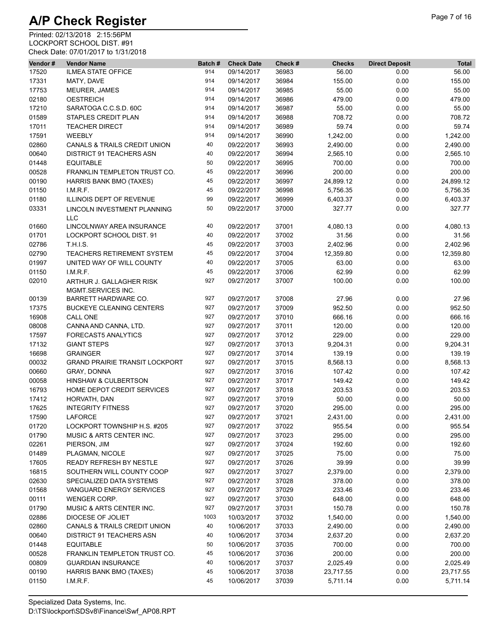| Vendor# | <b>Vendor Name</b>                    | Batch# | <b>Check Date</b> | Check # | <b>Checks</b> | <b>Direct Deposit</b> | <b>Total</b> |
|---------|---------------------------------------|--------|-------------------|---------|---------------|-----------------------|--------------|
| 17520   | <b>ILMEA STATE OFFICE</b>             | 914    | 09/14/2017        | 36983   | 56.00         | 0.00                  | 56.00        |
| 17331   | MATY, DAVE                            | 914    | 09/14/2017        | 36984   | 155.00        | 0.00                  | 155.00       |
| 17753   | MEURER, JAMES                         | 914    | 09/14/2017        | 36985   | 55.00         | 0.00                  | 55.00        |
| 02180   | <b>OESTREICH</b>                      | 914    | 09/14/2017        | 36986   | 479.00        | 0.00                  | 479.00       |
| 17210   | SARATOGA C.C.S.D. 60C                 | 914    | 09/14/2017        | 36987   | 55.00         | 0.00                  | 55.00        |
| 01589   | STAPLES CREDIT PLAN                   | 914    | 09/14/2017        | 36988   | 708.72        | 0.00                  | 708.72       |
| 17011   | <b>TEACHER DIRECT</b>                 | 914    | 09/14/2017        | 36989   | 59.74         | 0.00                  | 59.74        |
| 17591   | <b>WEEBLY</b>                         | 914    | 09/14/2017        | 36990   | 1,242.00      | 0.00                  | 1,242.00     |
| 02860   | CANALS & TRAILS CREDIT UNION          | 40     | 09/22/2017        | 36993   | 2,490.00      | 0.00                  | 2,490.00     |
| 00640   | <b>DISTRICT 91 TEACHERS ASN</b>       | 40     | 09/22/2017        | 36994   | 2,565.10      | 0.00                  | 2,565.10     |
| 01448   | <b>EQUITABLE</b>                      | 50     | 09/22/2017        | 36995   | 700.00        | 0.00                  | 700.00       |
| 00528   | FRANKLIN TEMPLETON TRUST CO.          | 45     | 09/22/2017        | 36996   | 200.00        | 0.00                  | 200.00       |
| 00190   | HARRIS BANK BMO (TAXES)               | 45     | 09/22/2017        | 36997   | 24,899.12     | 0.00                  | 24,899.12    |
| 01150   | LM.R.F.                               | 45     | 09/22/2017        | 36998   | 5,756.35      | 0.00                  | 5,756.35     |
| 01180   | ILLINOIS DEPT OF REVENUE              | 99     | 09/22/2017        | 36999   | 6,403.37      | 0.00                  | 6,403.37     |
| 03331   | LINCOLN INVESTMENT PLANNING           | 50     | 09/22/2017        | 37000   | 327.77        | 0.00                  | 327.77       |
|         | <b>LLC</b>                            |        |                   |         |               |                       |              |
| 01660   | LINCOLNWAY AREA INSURANCE             | 40     | 09/22/2017        | 37001   | 4,080.13      | 0.00                  | 4,080.13     |
| 01701   | LOCKPORT SCHOOL DIST. 91              | 40     | 09/22/2017        | 37002   | 31.56         | 0.00                  | 31.56        |
| 02786   | <b>T.H.I.S.</b>                       | 45     | 09/22/2017        | 37003   | 2,402.96      | 0.00                  | 2,402.96     |
| 02790   | <b>TEACHERS RETIREMENT SYSTEM</b>     | 45     | 09/22/2017        | 37004   | 12,359.80     | 0.00                  | 12,359.80    |
| 01997   | UNITED WAY OF WILL COUNTY             | 40     | 09/22/2017        | 37005   | 63.00         | 0.00                  | 63.00        |
| 01150   | I.M.R.F.                              | 45     | 09/22/2017        | 37006   | 62.99         | 0.00                  | 62.99        |
| 02010   | ARTHUR J. GALLAGHER RISK              | 927    | 09/27/2017        | 37007   | 100.00        | 0.00                  | 100.00       |
|         | MGMT.SERVICES INC.                    |        |                   |         |               |                       |              |
| 00139   | BARRETT HARDWARE CO.                  | 927    | 09/27/2017        | 37008   | 27.96         | 0.00                  | 27.96        |
| 17375   | <b>BUCKEYE CLEANING CENTERS</b>       | 927    | 09/27/2017        | 37009   | 952.50        | 0.00                  | 952.50       |
| 16908   | CALL ONE                              | 927    | 09/27/2017        | 37010   | 666.16        | 0.00                  | 666.16       |
| 08008   | CANNA AND CANNA, LTD.                 | 927    | 09/27/2017        | 37011   | 120.00        | 0.00                  | 120.00       |
| 17597   | <b>FORECAST5 ANALYTICS</b>            | 927    | 09/27/2017        | 37012   | 229.00        | 0.00                  | 229.00       |
| 17132   | <b>GIANT STEPS</b>                    | 927    | 09/27/2017        | 37013   | 9,204.31      | 0.00                  | 9,204.31     |
| 16698   | <b>GRAINGER</b>                       | 927    | 09/27/2017        | 37014   | 139.19        | 0.00                  | 139.19       |
| 00032   | <b>GRAND PRAIRIE TRANSIT LOCKPORT</b> | 927    | 09/27/2017        | 37015   | 8,568.13      | 0.00                  | 8,568.13     |
| 00660   | GRAY, DONNA                           | 927    | 09/27/2017        | 37016   | 107.42        | 0.00                  | 107.42       |
| 00058   | HINSHAW & CULBERTSON                  | 927    | 09/27/2017        | 37017   | 149.42        | 0.00                  | 149.42       |
|         |                                       |        |                   |         |               |                       | 203.53       |
| 16793   | HOME DEPOT CREDIT SERVICES            | 927    | 09/27/2017        | 37018   | 203.53        | 0.00                  |              |
| 17412   | HORVATH, DAN                          | 927    | 09/27/2017        | 37019   | 50.00         | 0.00                  | 50.00        |
| 17625   | <b>INTEGRITY FITNESS</b>              | 927    | 09/27/2017        | 37020   | 295.00        | 0.00                  | 295.00       |
| 17590   | <b>LAFORCE</b>                        | 927    | 09/27/2017        | 37021   | 2,431.00      | 0.00                  | 2,431.00     |
| 01720   | LOCKPORT TOWNSHIP H.S. #205           | 927    | 09/27/2017        | 37022   | 955.54        | 0.00                  | 955.54       |
| 01790   | MUSIC & ARTS CENTER INC.              | 927    | 09/27/2017        | 37023   | 295.00        | 0.00                  | 295.00       |
| 02261   | PIERSON, JIM                          | 927    | 09/27/2017        | 37024   | 192.60        | 0.00                  | 192.60       |
| 01489   | PLAGMAN, NICOLE                       | 927    | 09/27/2017        | 37025   | 75.00         | 0.00                  | 75.00        |
| 17605   | READY REFRESH BY NESTLE               | 927    | 09/27/2017        | 37026   | 39.99         | 0.00                  | 39.99        |
| 16815   | SOUTHERN WILL COUNTY COOP             | 927    | 09/27/2017        | 37027   | 2,379.00      | 0.00                  | 2,379.00     |
| 02630   | SPECIALIZED DATA SYSTEMS              | 927    | 09/27/2017        | 37028   | 378.00        | 0.00                  | 378.00       |
| 01568   | VANGUARD ENERGY SERVICES              | 927    | 09/27/2017        | 37029   | 233.46        | 0.00                  | 233.46       |
| 00111   | WENGER CORP.                          | 927    | 09/27/2017        | 37030   | 648.00        | 0.00                  | 648.00       |
| 01790   | MUSIC & ARTS CENTER INC.              | 927    | 09/27/2017        | 37031   | 150.78        | 0.00                  | 150.78       |
| 02886   | DIOCESE OF JOLIET                     | 1003   | 10/03/2017        | 37032   | 1,540.00      | 0.00                  | 1,540.00     |
| 02860   | CANALS & TRAILS CREDIT UNION          | 40     | 10/06/2017        | 37033   | 2,490.00      | 0.00                  | 2,490.00     |
| 00640   | <b>DISTRICT 91 TEACHERS ASN</b>       | 40     | 10/06/2017        | 37034   | 2,637.20      | 0.00                  | 2,637.20     |
| 01448   | <b>EQUITABLE</b>                      | 50     | 10/06/2017        | 37035   | 700.00        | 0.00                  | 700.00       |
| 00528   | FRANKLIN TEMPLETON TRUST CO.          | 45     | 10/06/2017        | 37036   | 200.00        | 0.00                  | 200.00       |
| 00809   | <b>GUARDIAN INSURANCE</b>             | 40     | 10/06/2017        | 37037   | 2,025.49      | 0.00                  | 2,025.49     |
| 00190   | HARRIS BANK BMO (TAXES)               | 45     | 10/06/2017        | 37038   | 23,717.55     | 0.00                  | 23,717.55    |
| 01150   | I.M.R.F.                              | 45     | 10/06/2017        | 37039   | 5,711.14      | 0.00                  | 5,711.14     |
|         |                                       |        |                   |         |               |                       |              |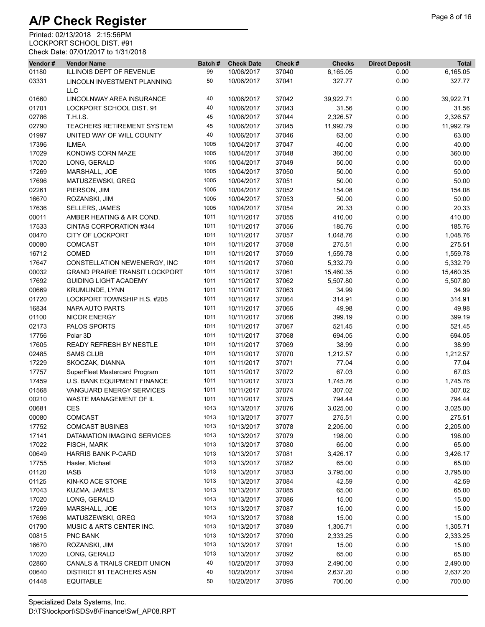| Vendor# | <b>Vendor Name</b>                        | Batch# | <b>Check Date</b> | Check # | <b>Checks</b> | <b>Direct Deposit</b> | <b>Total</b> |
|---------|-------------------------------------------|--------|-------------------|---------|---------------|-----------------------|--------------|
| 01180   | <b>ILLINOIS DEPT OF REVENUE</b>           | 99     | 10/06/2017        | 37040   | 6,165.05      | 0.00                  | 6,165.05     |
| 03331   | LINCOLN INVESTMENT PLANNING<br><b>LLC</b> | 50     | 10/06/2017        | 37041   | 327.77        | 0.00                  | 327.77       |
| 01660   | LINCOLNWAY AREA INSURANCE                 | 40     | 10/06/2017        | 37042   | 39,922.71     | 0.00                  | 39,922.71    |
| 01701   | LOCKPORT SCHOOL DIST. 91                  | 40     | 10/06/2017        | 37043   | 31.56         | 0.00                  | 31.56        |
| 02786   | <b>T.H.I.S.</b>                           | 45     | 10/06/2017        | 37044   | 2,326.57      | 0.00                  | 2,326.57     |
| 02790   | <b>TEACHERS RETIREMENT SYSTEM</b>         | 45     | 10/06/2017        | 37045   | 11,992.79     | 0.00                  | 11,992.79    |
| 01997   | UNITED WAY OF WILL COUNTY                 | 40     | 10/06/2017        | 37046   | 63.00         | 0.00                  | 63.00        |
| 17396   | <b>ILMEA</b>                              | 1005   | 10/04/2017        | 37047   | 40.00         | 0.00                  | 40.00        |
| 17029   | KONOWS CORN MAZE                          | 1005   | 10/04/2017        | 37048   | 360.00        | 0.00                  | 360.00       |
| 17020   | LONG, GERALD                              | 1005   | 10/04/2017        | 37049   | 50.00         | 0.00                  | 50.00        |
| 17269   | MARSHALL, JOE                             | 1005   | 10/04/2017        | 37050   | 50.00         | 0.00                  | 50.00        |
| 17696   | MATUSZEWSKI, GREG                         | 1005   | 10/04/2017        | 37051   | 50.00         | 0.00                  | 50.00        |
| 02261   | PIERSON, JIM                              | 1005   | 10/04/2017        | 37052   | 154.08        | 0.00                  | 154.08       |
| 16670   | ROZANSKI, JIM                             | 1005   | 10/04/2017        | 37053   | 50.00         | 0.00                  | 50.00        |
| 17636   | SELLERS, JAMES                            | 1005   | 10/04/2017        | 37054   | 20.33         | 0.00                  | 20.33        |
| 00011   | AMBER HEATING & AIR COND.                 | 1011   | 10/11/2017        | 37055   | 410.00        | 0.00                  | 410.00       |
| 17533   | CINTAS CORPORATION #344                   | 1011   | 10/11/2017        | 37056   | 185.76        | 0.00                  | 185.76       |
| 00470   | <b>CITY OF LOCKPORT</b>                   | 1011   | 10/11/2017        | 37057   | 1,048.76      | 0.00                  | 1,048.76     |
| 00080   | <b>COMCAST</b>                            | 1011   | 10/11/2017        | 37058   | 275.51        | 0.00                  | 275.51       |
| 16712   | COMED                                     | 1011   | 10/11/2017        | 37059   | 1,559.78      | 0.00                  | 1,559.78     |
|         |                                           |        |                   |         |               |                       |              |
| 17647   | CONSTELLATION NEWENERGY, INC              | 1011   | 10/11/2017        | 37060   | 5,332.79      | 0.00                  | 5,332.79     |
| 00032   | <b>GRAND PRAIRIE TRANSIT LOCKPORT</b>     | 1011   | 10/11/2017        | 37061   | 15,460.35     | 0.00                  | 15,460.35    |
| 17692   | <b>GUIDING LIGHT ACADEMY</b>              | 1011   | 10/11/2017        | 37062   | 5,507.80      | 0.00                  | 5,507.80     |
| 00669   | <b>KRUMLINDE, LYNN</b>                    | 1011   | 10/11/2017        | 37063   | 34.99         | 0.00                  | 34.99        |
| 01720   | LOCKPORT TOWNSHIP H.S. #205               | 1011   | 10/11/2017        | 37064   | 314.91        | 0.00                  | 314.91       |
| 16834   | NAPA AUTO PARTS                           | 1011   | 10/11/2017        | 37065   | 49.98         | 0.00                  | 49.98        |
| 01100   | <b>NICOR ENERGY</b>                       | 1011   | 10/11/2017        | 37066   | 399.19        | 0.00                  | 399.19       |
| 02173   | PALOS SPORTS                              | 1011   | 10/11/2017        | 37067   | 521.45        | 0.00                  | 521.45       |
| 17756   | Polar 3D                                  | 1011   | 10/11/2017        | 37068   | 694.05        | 0.00                  | 694.05       |
| 17605   | <b>READY REFRESH BY NESTLE</b>            | 1011   | 10/11/2017        | 37069   | 38.99         | 0.00                  | 38.99        |
| 02485   | <b>SAMS CLUB</b>                          | 1011   | 10/11/2017        | 37070   | 1,212.57      | 0.00                  | 1,212.57     |
| 17229   | SKOCZAK, DIANNA                           | 1011   | 10/11/2017        | 37071   | 77.04         | 0.00                  | 77.04        |
| 17757   | SuperFleet Mastercard Program             | 1011   | 10/11/2017        | 37072   | 67.03         | 0.00                  | 67.03        |
| 17459   | <b>U.S. BANK EQUIPMENT FINANCE</b>        | 1011   | 10/11/2017        | 37073   | 1,745.76      | 0.00                  | 1,745.76     |
| 01568   | VANGUARD ENERGY SERVICES                  | 1011   | 10/11/2017        | 37074   | 307.02        | 0.00                  | 307.02       |
| 00210   | WASTE MANAGEMENT OF IL                    | 1011   | 10/11/2017        | 37075   | 794.44        | 0.00                  | 794.44       |
| 00681   | <b>CES</b>                                | 1013   | 10/13/2017        | 37076   | 3,025.00      | 0.00                  | 3,025.00     |
| 00080   | COMCAST                                   | 1013   | 10/13/2017        | 37077   | 275.51        | 0.00                  | 275.51       |
| 17752   | <b>COMCAST BUSINES</b>                    | 1013   | 10/13/2017        | 37078   | 2,205.00      | 0.00                  | 2,205.00     |
| 17141   | DATAMATION IMAGING SERVICES               | 1013   | 10/13/2017        | 37079   | 198.00        | 0.00                  | 198.00       |
| 17022   | FISCH, MARK                               | 1013   | 10/13/2017        | 37080   | 65.00         | 0.00                  | 65.00        |
| 00649   | <b>HARRIS BANK P-CARD</b>                 | 1013   | 10/13/2017        | 37081   | 3,426.17      | 0.00                  | 3,426.17     |
| 17755   | Hasler, Michael                           | 1013   | 10/13/2017        | 37082   | 65.00         | 0.00                  | 65.00        |
| 01120   | IASB                                      | 1013   | 10/13/2017        | 37083   | 3,795.00      | 0.00                  | 3,795.00     |
| 01125   | KIN-KO ACE STORE                          | 1013   | 10/13/2017        | 37084   | 42.59         | 0.00                  | 42.59        |
| 17043   | KUZMA, JAMES                              | 1013   | 10/13/2017        | 37085   | 65.00         | 0.00                  | 65.00        |
| 17020   | LONG, GERALD                              | 1013   | 10/13/2017        | 37086   | 15.00         | 0.00                  | 15.00        |
| 17269   | MARSHALL, JOE                             | 1013   | 10/13/2017        | 37087   | 15.00         | 0.00                  | 15.00        |
| 17696   | MATUSZEWSKI, GREG                         | 1013   | 10/13/2017        | 37088   | 15.00         | 0.00                  | 15.00        |
| 01790   | MUSIC & ARTS CENTER INC.                  | 1013   | 10/13/2017        | 37089   | 1,305.71      | 0.00                  | 1,305.71     |
| 00815   | PNC BANK                                  | 1013   | 10/13/2017        | 37090   | 2,333.25      | 0.00                  | 2,333.25     |
| 16670   | ROZANSKI, JIM                             | 1013   | 10/13/2017        | 37091   | 15.00         | 0.00                  | 15.00        |
| 17020   | LONG, GERALD                              | 1013   | 10/13/2017        | 37092   | 65.00         | 0.00                  | 65.00        |
| 02860   | CANALS & TRAILS CREDIT UNION              | 40     | 10/20/2017        | 37093   | 2,490.00      | 0.00                  | 2,490.00     |
| 00640   | <b>DISTRICT 91 TEACHERS ASN</b>           | 40     | 10/20/2017        | 37094   | 2,637.20      | 0.00                  | 2,637.20     |
| 01448   | <b>EQUITABLE</b>                          | 50     | 10/20/2017        | 37095   | 700.00        | 0.00                  | 700.00       |
|         |                                           |        |                   |         |               |                       |              |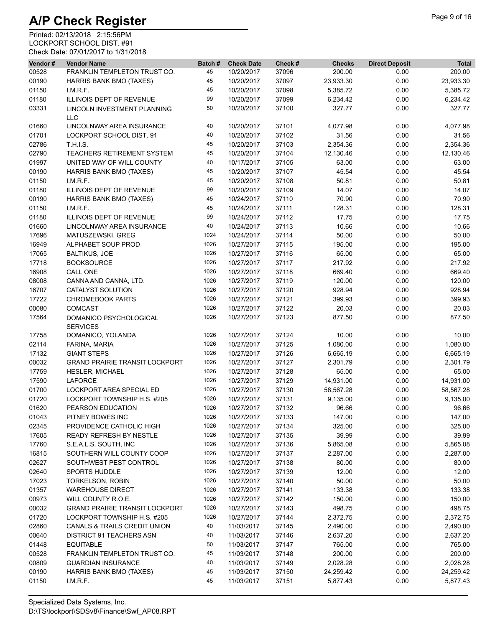| Vendor# | <b>Vendor Name</b>                    | Batch# | <b>Check Date</b> | Check# | <b>Checks</b> | <b>Direct Deposit</b> | <b>Total</b> |
|---------|---------------------------------------|--------|-------------------|--------|---------------|-----------------------|--------------|
| 00528   | FRANKLIN TEMPLETON TRUST CO.          | 45     | 10/20/2017        | 37096  | 200.00        | 0.00                  | 200.00       |
| 00190   | HARRIS BANK BMO (TAXES)               | 45     | 10/20/2017        | 37097  | 23,933.30     | 0.00                  | 23,933.30    |
| 01150   | I.M.R.F.                              | 45     | 10/20/2017        | 37098  | 5,385.72      | 0.00                  | 5,385.72     |
| 01180   | ILLINOIS DEPT OF REVENUE              | 99     | 10/20/2017        | 37099  | 6,234.42      | 0.00                  | 6,234.42     |
| 03331   | LINCOLN INVESTMENT PLANNING           | 50     | 10/20/2017        | 37100  | 327.77        | 0.00                  | 327.77       |
|         | <b>LLC</b>                            |        |                   |        |               |                       |              |
| 01660   | LINCOLNWAY AREA INSURANCE             | 40     | 10/20/2017        | 37101  | 4,077.98      | 0.00                  | 4,077.98     |
| 01701   | LOCKPORT SCHOOL DIST. 91              | 40     | 10/20/2017        | 37102  | 31.56         | 0.00                  | 31.56        |
| 02786   | T.H.I.S.                              | 45     | 10/20/2017        | 37103  | 2,354.36      | 0.00                  | 2,354.36     |
| 02790   | TEACHERS RETIREMENT SYSTEM            | 45     | 10/20/2017        | 37104  | 12,130.46     | 0.00                  | 12,130.46    |
| 01997   | UNITED WAY OF WILL COUNTY             | 40     | 10/17/2017        | 37105  | 63.00         | 0.00                  | 63.00        |
| 00190   | <b>HARRIS BANK BMO (TAXES)</b>        | 45     | 10/20/2017        | 37107  | 45.54         | 0.00                  | 45.54        |
| 01150   | LM.R.F.                               | 45     | 10/20/2017        | 37108  | 50.81         | 0.00                  | 50.81        |
| 01180   | ILLINOIS DEPT OF REVENUE              | 99     | 10/20/2017        | 37109  | 14.07         | 0.00                  | 14.07        |
| 00190   | HARRIS BANK BMO (TAXES)               | 45     | 10/24/2017        | 37110  | 70.90         | 0.00                  | 70.90        |
|         |                                       | 45     |                   | 37111  | 128.31        |                       |              |
| 01150   | LM.R.F.                               |        | 10/24/2017        |        |               | 0.00                  | 128.31       |
| 01180   | <b>ILLINOIS DEPT OF REVENUE</b>       | 99     | 10/24/2017        | 37112  | 17.75         | 0.00                  | 17.75        |
| 01660   | LINCOLNWAY AREA INSURANCE             | 40     | 10/24/2017        | 37113  | 10.66         | 0.00                  | 10.66        |
| 17696   | MATUSZEWSKI, GREG                     | 1024   | 10/24/2017        | 37114  | 50.00         | 0.00                  | 50.00        |
| 16949   | ALPHABET SOUP PROD                    | 1026   | 10/27/2017        | 37115  | 195.00        | 0.00                  | 195.00       |
| 17065   | <b>BALTIKUS, JOE</b>                  | 1026   | 10/27/2017        | 37116  | 65.00         | 0.00                  | 65.00        |
| 17718   | <b>BOOKSOURCE</b>                     | 1026   | 10/27/2017        | 37117  | 217.92        | 0.00                  | 217.92       |
| 16908   | <b>CALL ONE</b>                       | 1026   | 10/27/2017        | 37118  | 669.40        | 0.00                  | 669.40       |
| 08008   | CANNA AND CANNA, LTD.                 | 1026   | 10/27/2017        | 37119  | 120.00        | 0.00                  | 120.00       |
| 16707   | CATALYST SOLUTION                     | 1026   | 10/27/2017        | 37120  | 928.94        | 0.00                  | 928.94       |
| 17722   | <b>CHROMEBOOK PARTS</b>               | 1026   | 10/27/2017        | 37121  | 399.93        | 0.00                  | 399.93       |
| 00080   | <b>COMCAST</b>                        | 1026   | 10/27/2017        | 37122  | 20.03         | 0.00                  | 20.03        |
| 17564   | DOMANICO PSYCHOLOGICAL                | 1026   | 10/27/2017        | 37123  | 877.50        | 0.00                  | 877.50       |
|         | <b>SERVICES</b>                       |        |                   |        |               |                       |              |
| 17758   | DOMANICO, YOLANDA                     | 1026   | 10/27/2017        | 37124  | 10.00         | 0.00                  | 10.00        |
| 02114   | FARINA, MARIA                         | 1026   | 10/27/2017        | 37125  | 1,080.00      | 0.00                  | 1,080.00     |
| 17132   | <b>GIANT STEPS</b>                    | 1026   | 10/27/2017        | 37126  | 6,665.19      | 0.00                  | 6,665.19     |
| 00032   | <b>GRAND PRAIRIE TRANSIT LOCKPORT</b> | 1026   | 10/27/2017        | 37127  | 2,301.79      | 0.00                  | 2,301.79     |
| 17759   | <b>HESLER, MICHAEL</b>                | 1026   | 10/27/2017        | 37128  | 65.00         | 0.00                  | 65.00        |
| 17590   | <b>LAFORCE</b>                        | 1026   | 10/27/2017        | 37129  | 14,931.00     | 0.00                  | 14,931.00    |
| 01700   | LOCKPORT AREA SPECIAL ED              | 1026   | 10/27/2017        | 37130  | 58,567.28     | 0.00                  | 58,567.28    |
| 01720   | LOCKPORT TOWNSHIP H.S. #205           | 1026   | 10/27/2017        | 37131  | 9,135.00      | 0.00                  | 9,135.00     |
| 01620   | PEARSON EDUCATION                     | 1026   | 10/27/2017        | 37132  | 96.66         | 0.00                  | 96.66        |
|         |                                       |        |                   |        |               |                       |              |
| 01043   | PITNEY BOWES INC                      | 1026   | 10/27/2017        | 37133  | 147.00        | 0.00                  | 147.00       |
| 02345   | PROVIDENCE CATHOLIC HIGH              | 1026   | 10/27/2017        | 37134  | 325.00        | 0.00                  | 325.00       |
| 17605   | READY REFRESH BY NESTLE               | 1026   | 10/27/2017        | 37135  | 39.99         | 0.00                  | 39.99        |
| 17760   | S.E.A.L.S. SOUTH, INC                 | 1026   | 10/27/2017        | 37136  | 5,865.08      | 0.00                  | 5,865.08     |
| 16815   | SOUTHERN WILL COUNTY COOP             | 1026   | 10/27/2017        | 37137  | 2,287.00      | 0.00                  | 2,287.00     |
| 02627   | SOUTHWEST PEST CONTROL                | 1026   | 10/27/2017        | 37138  | 80.00         | 0.00                  | 80.00        |
| 02640   | <b>SPORTS HUDDLE</b>                  | 1026   | 10/27/2017        | 37139  | 12.00         | 0.00                  | 12.00        |
| 17023   | <b>TORKELSON, ROBIN</b>               | 1026   | 10/27/2017        | 37140  | 50.00         | 0.00                  | 50.00        |
| 01357   | <b>WAREHOUSE DIRECT</b>               | 1026   | 10/27/2017        | 37141  | 133.38        | 0.00                  | 133.38       |
| 00973   | WILL COUNTY R.O.E.                    | 1026   | 10/27/2017        | 37142  | 150.00        | 0.00                  | 150.00       |
| 00032   | <b>GRAND PRAIRIE TRANSIT LOCKPORT</b> | 1026   | 10/27/2017        | 37143  | 498.75        | 0.00                  | 498.75       |
| 01720   | LOCKPORT TOWNSHIP H.S. #205           | 1026   | 10/27/2017        | 37144  | 2,372.75      | 0.00                  | 2,372.75     |
| 02860   | CANALS & TRAILS CREDIT UNION          | 40     | 11/03/2017        | 37145  | 2,490.00      | 0.00                  | 2,490.00     |
| 00640   | <b>DISTRICT 91 TEACHERS ASN</b>       | 40     | 11/03/2017        | 37146  | 2,637.20      | 0.00                  | 2,637.20     |
|         |                                       | 50     |                   |        |               |                       |              |
| 01448   | <b>EQUITABLE</b>                      |        | 11/03/2017        | 37147  | 765.00        | 0.00                  | 765.00       |
| 00528   | FRANKLIN TEMPLETON TRUST CO.          | 45     | 11/03/2017        | 37148  | 200.00        | 0.00                  | 200.00       |
| 00809   | <b>GUARDIAN INSURANCE</b>             | 40     | 11/03/2017        | 37149  | 2,028.28      | 0.00                  | 2,028.28     |
| 00190   | HARRIS BANK BMO (TAXES)               | 45     | 11/03/2017        | 37150  | 24,259.42     | 0.00                  | 24,259.42    |
| 01150   | I.M.R.F.                              | 45     | 11/03/2017        | 37151  | 5,877.43      | 0.00                  | 5,877.43     |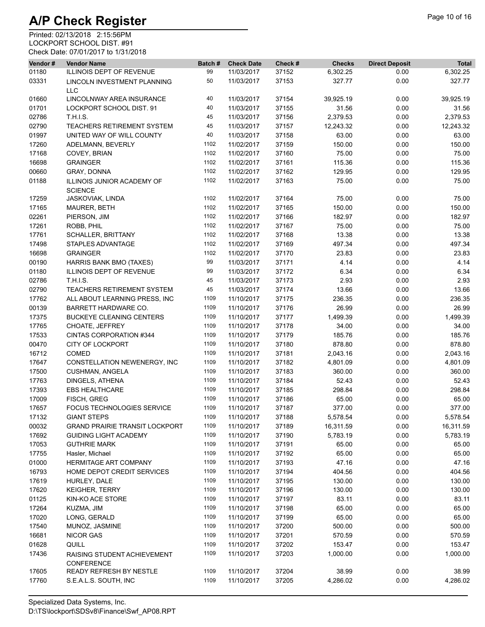| Vendor# | <b>Vendor Name</b>                                  | Batch# | <b>Check Date</b> | Check # | <b>Checks</b> | <b>Direct Deposit</b> | <b>Total</b> |
|---------|-----------------------------------------------------|--------|-------------------|---------|---------------|-----------------------|--------------|
| 01180   | ILLINOIS DEPT OF REVENUE                            | 99     | 11/03/2017        | 37152   | 6,302.25      | 0.00                  | 6,302.25     |
| 03331   | LINCOLN INVESTMENT PLANNING<br><b>LLC</b>           | 50     | 11/03/2017        | 37153   | 327.77        | 0.00                  | 327.77       |
| 01660   | LINCOLNWAY AREA INSURANCE                           | 40     | 11/03/2017        | 37154   | 39,925.19     | 0.00                  | 39,925.19    |
| 01701   | LOCKPORT SCHOOL DIST. 91                            | 40     | 11/03/2017        | 37155   | 31.56         | 0.00                  | 31.56        |
| 02786   | <b>T.H.I.S.</b>                                     | 45     | 11/03/2017        | 37156   | 2,379.53      | 0.00                  | 2,379.53     |
| 02790   | TEACHERS RETIREMENT SYSTEM                          | 45     | 11/03/2017        | 37157   | 12,243.32     | 0.00                  | 12,243.32    |
| 01997   | UNITED WAY OF WILL COUNTY                           | 40     | 11/03/2017        | 37158   | 63.00         | 0.00                  | 63.00        |
| 17260   | ADELMANN, BEVERLY                                   | 1102   | 11/02/2017        | 37159   | 150.00        | 0.00                  | 150.00       |
| 17168   | COVEY, BRIAN                                        | 1102   | 11/02/2017        | 37160   | 75.00         | 0.00                  | 75.00        |
| 16698   | <b>GRAINGER</b>                                     | 1102   | 11/02/2017        | 37161   | 115.36        | 0.00                  | 115.36       |
| 00660   | GRAY, DONNA                                         | 1102   | 11/02/2017        | 37162   | 129.95        | 0.00                  | 129.95       |
| 01188   | ILLINOIS JUNIOR ACADEMY OF<br><b>SCIENCE</b>        | 1102   | 11/02/2017        | 37163   | 75.00         | 0.00                  | 75.00        |
| 17259   | JASKOVIAK, LINDA                                    | 1102   | 11/02/2017        | 37164   | 75.00         | 0.00                  | 75.00        |
| 17165   | MAURER, BETH                                        | 1102   | 11/02/2017        | 37165   | 150.00        | 0.00                  | 150.00       |
| 02261   | PIERSON, JIM                                        | 1102   | 11/02/2017        | 37166   | 182.97        | 0.00                  | 182.97       |
| 17261   | ROBB, PHIL                                          | 1102   | 11/02/2017        | 37167   | 75.00         | 0.00                  | 75.00        |
| 17761   | <b>SCHALLER, BRITTANY</b>                           | 1102   | 11/02/2017        | 37168   | 13.38         | 0.00                  | 13.38        |
| 17498   | STAPLES ADVANTAGE                                   | 1102   | 11/02/2017        | 37169   | 497.34        | 0.00                  | 497.34       |
| 16698   | <b>GRAINGER</b>                                     | 1102   | 11/02/2017        | 37170   | 23.83         | 0.00                  | 23.83        |
|         |                                                     | 99     | 11/03/2017        | 37171   | 4.14          | 0.00                  | 4.14         |
| 00190   | HARRIS BANK BMO (TAXES)<br>ILLINOIS DEPT OF REVENUE | 99     | 11/03/2017        |         | 6.34          |                       |              |
| 01180   |                                                     | 45     | 11/03/2017        | 37172   |               | 0.00                  | 6.34         |
| 02786   | T.H.I.S.                                            |        |                   | 37173   | 2.93          | 0.00                  | 2.93         |
| 02790   | TEACHERS RETIREMENT SYSTEM                          | 45     | 11/03/2017        | 37174   | 13.66         | 0.00                  | 13.66        |
| 17762   | ALL ABOUT LEARNING PRESS, INC                       | 1109   | 11/10/2017        | 37175   | 236.35        | 0.00                  | 236.35       |
| 00139   | BARRETT HARDWARE CO.                                | 1109   | 11/10/2017        | 37176   | 26.99         | 0.00                  | 26.99        |
| 17375   | <b>BUCKEYE CLEANING CENTERS</b>                     | 1109   | 11/10/2017        | 37177   | 1,499.39      | 0.00                  | 1,499.39     |
| 17765   | CHOATE, JEFFREY                                     | 1109   | 11/10/2017        | 37178   | 34.00         | 0.00                  | 34.00        |
| 17533   | CINTAS CORPORATION #344                             | 1109   | 11/10/2017        | 37179   | 185.76        | 0.00                  | 185.76       |
| 00470   | <b>CITY OF LOCKPORT</b>                             | 1109   | 11/10/2017        | 37180   | 878.80        | 0.00                  | 878.80       |
| 16712   | COMED                                               | 1109   | 11/10/2017        | 37181   | 2,043.16      | 0.00                  | 2,043.16     |
| 17647   | CONSTELLATION NEWENERGY, INC                        | 1109   | 11/10/2017        | 37182   | 4,801.09      | 0.00                  | 4,801.09     |
| 17500   | <b>CUSHMAN, ANGELA</b>                              | 1109   | 11/10/2017        | 37183   | 360.00        | 0.00                  | 360.00       |
| 17763   | DINGELS, ATHENA                                     | 1109   | 11/10/2017        | 37184   | 52.43         | 0.00                  | 52.43        |
| 17393   | <b>EBS HEALTHCARE</b>                               | 1109   | 11/10/2017        | 37185   | 298.84        | 0.00                  | 298.84       |
| 17009   | FISCH, GREG                                         | 1109   | 11/10/2017        | 37186   | 65.00         | 0.00                  | 65.00        |
| 17657   | FOCUS TECHNOLOGIES SERVICE                          | 1109   | 11/10/2017        | 37187   | 377.00        | 0.00                  | 377.00       |
| 17132   | <b>GIANT STEPS</b>                                  | 1109   | 11/10/2017        | 37188   | 5,578.54      | 0.00                  | 5,578.54     |
| 00032   | <b>GRAND PRAIRIE TRANSIT LOCKPORT</b>               | 1109   | 11/10/2017        | 37189   | 16,311.59     | 0.00                  | 16,311.59    |
| 17692   | <b>GUIDING LIGHT ACADEMY</b>                        | 1109   | 11/10/2017        | 37190   | 5,783.19      | 0.00                  | 5,783.19     |
| 17053   | <b>GUTHRIE MARK</b>                                 | 1109   | 11/10/2017        | 37191   | 65.00         | 0.00                  | 65.00        |
| 17755   | Hasler, Michael                                     | 1109   | 11/10/2017        | 37192   | 65.00         | 0.00                  | 65.00        |
| 01000   | <b>HERMITAGE ART COMPANY</b>                        | 1109   | 11/10/2017        | 37193   | 47.16         | 0.00                  | 47.16        |
| 16793   | HOME DEPOT CREDIT SERVICES                          | 1109   | 11/10/2017        | 37194   | 404.56        | 0.00                  | 404.56       |
| 17619   | HURLEY, DALE                                        | 1109   | 11/10/2017        | 37195   | 130.00        | 0.00                  | 130.00       |
| 17620   | <b>KEIGHER, TERRY</b>                               | 1109   | 11/10/2017        | 37196   | 130.00        | 0.00                  | 130.00       |
| 01125   | KIN-KO ACE STORE                                    | 1109   | 11/10/2017        | 37197   | 83.11         | 0.00                  | 83.11        |
| 17264   | KUZMA, JIM                                          | 1109   | 11/10/2017        | 37198   | 65.00         | 0.00                  | 65.00        |
| 17020   | LONG, GERALD                                        | 1109   | 11/10/2017        | 37199   | 65.00         | 0.00                  | 65.00        |
| 17540   | MUNOZ, JASMINE                                      | 1109   | 11/10/2017        | 37200   | 500.00        | 0.00                  | 500.00       |
| 16681   | <b>NICOR GAS</b>                                    | 1109   | 11/10/2017        | 37201   | 570.59        | 0.00                  | 570.59       |
| 01628   | QUILL                                               | 1109   | 11/10/2017        | 37202   | 153.47        | 0.00                  | 153.47       |
| 17436   | RAISING STUDENT ACHIEVEMENT<br><b>CONFERENCE</b>    | 1109   | 11/10/2017        | 37203   | 1,000.00      | 0.00                  | 1,000.00     |
| 17605   | READY REFRESH BY NESTLE                             | 1109   | 11/10/2017        | 37204   | 38.99         | 0.00                  | 38.99        |
| 17760   | S.E.A.L.S. SOUTH, INC                               | 1109   | 11/10/2017        | 37205   | 4,286.02      | 0.00                  | 4,286.02     |
|         |                                                     |        |                   |         |               |                       |              |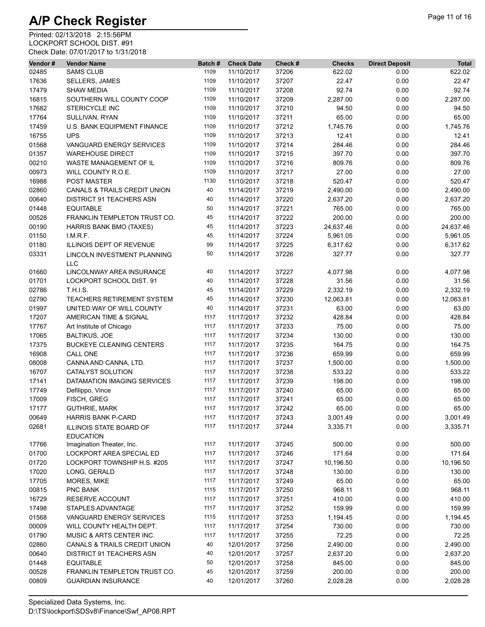| Vendor# | <b>Vendor Name</b>                      | Batch# | <b>Check Date</b> | Check # | <b>Checks</b> | <b>Direct Deposit</b> | <b>Total</b> |
|---------|-----------------------------------------|--------|-------------------|---------|---------------|-----------------------|--------------|
| 02485   | <b>SAMS CLUB</b>                        | 1109   | 11/10/2017        | 37206   | 622.02        | 0.00                  | 622.02       |
| 17636   | SELLERS, JAMES                          | 1109   | 11/10/2017        | 37207   | 22.47         | 0.00                  | 22.47        |
| 17479   | <b>SHAW MEDIA</b>                       | 1109   | 11/10/2017        | 37208   | 92.74         | 0.00                  | 92.74        |
| 16815   | SOUTHERN WILL COUNTY COOP               | 1109   | 11/10/2017        | 37209   | 2,287.00      | 0.00                  | 2,287.00     |
| 17682   | <b>STERICYCLE INC</b>                   | 1109   | 11/10/2017        | 37210   | 94.50         | 0.00                  | 94.50        |
| 17764   | SULLIVAN, RYAN                          | 1109   | 11/10/2017        | 37211   | 65.00         | 0.00                  | 65.00        |
| 17459   | U.S. BANK EQUIPMENT FINANCE             | 1109   | 11/10/2017        | 37212   | 1,745.76      | 0.00                  | 1,745.76     |
| 16755   | <b>UPS</b>                              | 1109   | 11/10/2017        | 37213   | 12.41         | 0.00                  | 12.41        |
| 01568   | VANGUARD ENERGY SERVICES                | 1109   | 11/10/2017        | 37214   | 284.46        | 0.00                  | 284.46       |
| 01357   | <b>WAREHOUSE DIRECT</b>                 | 1109   | 11/10/2017        | 37215   | 397.70        | 0.00                  | 397.70       |
| 00210   | WASTE MANAGEMENT OF IL                  | 1109   | 11/10/2017        | 37216   | 809.76        | 0.00                  | 809.76       |
| 00973   | WILL COUNTY R.O.E.                      | 1109   | 11/10/2017        | 37217   | 27.00         | 0.00                  | 27.00        |
| 16988   | <b>POST MASTER</b>                      | 1130   | 11/10/2017        | 37218   | 520.47        | 0.00                  | 520.47       |
| 02860   | <b>CANALS &amp; TRAILS CREDIT UNION</b> | 40     | 11/14/2017        | 37219   | 2,490.00      | 0.00                  | 2,490.00     |
| 00640   | <b>DISTRICT 91 TEACHERS ASN</b>         | 40     | 11/14/2017        | 37220   | 2,637.20      | 0.00                  | 2,637.20     |
| 01448   | <b>EQUITABLE</b>                        | 50     | 11/14/2017        | 37221   | 765.00        | 0.00                  | 765.00       |
| 00528   | FRANKLIN TEMPLETON TRUST CO.            | 45     | 11/14/2017        | 37222   | 200.00        | 0.00                  | 200.00       |
| 00190   | HARRIS BANK BMO (TAXES)                 | 45     | 11/14/2017        | 37223   | 24,637.46     | 0.00                  | 24,637.46    |
| 01150   | I.M.R.F.                                | 45     | 11/14/2017        | 37224   | 5,961.05      | 0.00                  | 5,961.05     |
| 01180   | <b>ILLINOIS DEPT OF REVENUE</b>         | 99     | 11/14/2017        | 37225   | 6,317.62      | 0.00                  | 6,317.62     |
| 03331   | <b>LINCOLN INVESTMENT PLANNING</b>      | 50     | 11/14/2017        | 37226   | 327.77        | 0.00                  | 327.77       |
|         | <b>LLC</b>                              |        |                   |         |               |                       |              |
| 01660   | LINCOLNWAY AREA INSURANCE               | 40     | 11/14/2017        | 37227   | 4,077.98      | 0.00                  | 4,077.98     |
| 01701   | LOCKPORT SCHOOL DIST. 91                | 40     | 11/14/2017        | 37228   | 31.56         | 0.00                  | 31.56        |
| 02786   | <b>T.H.I.S.</b>                         | 45     | 11/14/2017        | 37229   | 2,332.19      | 0.00                  | 2,332.19     |
| 02790   | TEACHERS RETIREMENT SYSTEM              | 45     | 11/14/2017        | 37230   | 12,063.81     | 0.00                  | 12,063.81    |
| 01997   | UNITED WAY OF WILL COUNTY               | 40     | 11/14/2017        | 37231   | 63.00         | 0.00                  | 63.00        |
| 17207   | AMERICAN TIME & SIGNAL                  | 1117   | 11/17/2017        | 37232   | 428.84        | 0.00                  | 428.84       |
| 17767   | Art Institute of Chicago                | 1117   | 11/17/2017        | 37233   | 75.00         | 0.00                  | 75.00        |
| 17065   | <b>BALTIKUS, JOE</b>                    | 1117   | 11/17/2017        | 37234   | 130.00        | 0.00                  | 130.00       |
| 17375   | <b>BUCKEYE CLEANING CENTERS</b>         | 1117   | 11/17/2017        | 37235   | 164.75        | 0.00                  | 164.75       |
| 16908   | CALL ONE                                | 1117   | 11/17/2017        | 37236   | 659.99        | 0.00                  | 659.99       |
| 08008   | CANNA AND CANNA, LTD.                   | 1117   | 11/17/2017        | 37237   | 1,500.00      | 0.00                  | 1,500.00     |
| 16707   | <b>CATALYST SOLUTION</b>                | 1117   | 11/17/2017        | 37238   | 533.22        | 0.00                  | 533.22       |
| 17141   | DATAMATION IMAGING SERVICES             | 1117   | 11/17/2017        | 37239   | 198.00        | 0.00                  | 198.00       |
| 17749   | Defilippo, Vince                        | 1117   | 11/17/2017        | 37240   | 65.00         | 0.00                  | 65.00        |
| 17009   | FISCH, GREG                             | 1117   | 11/17/2017        | 37241   | 65.00         | 0.00                  | 65.00        |
| 17177   | <b>GUTHRIE, MARK</b>                    | 1117   | 11/17/2017        | 37242   | 65.00         | 0.00                  | 65.00        |
| 00649   | HARRIS BANK P-CARD                      | 1117   | 11/17/2017        | 37243   | 3,001.49      | 0.00                  | 3,001.49     |
| 02681   | ILLINOIS STATE BOARD OF                 | 1117   | 11/17/2017        | 37244   | 3,335.71      | 0.00                  | 3,335.71     |
|         | <b>EDUCATION</b>                        |        |                   |         |               |                       |              |
| 17766   | Imagination Theater, Inc.               | 1117   | 11/17/2017        | 37245   | 500.00        | 0.00                  | 500.00       |
| 01700   | LOCKPORT AREA SPECIAL ED                | 1117   | 11/17/2017        | 37246   | 171.64        | 0.00                  | 171.64       |
| 01720   | LOCKPORT TOWNSHIP H.S. #205             | 1117   | 11/17/2017        | 37247   | 10,196.50     | 0.00                  | 10,196.50    |
| 17020   | LONG, GERALD                            | 1117   | 11/17/2017        | 37248   | 130.00        | 0.00                  | 130.00       |
| 17705   | MORES, MIKE                             | 1117   | 11/17/2017        | 37249   | 65.00         | 0.00                  | 65.00        |
| 00815   | PNC BANK                                | 1115   | 11/17/2017        | 37250   | 968.11        | 0.00                  | 968.11       |
| 16729   | RESERVE ACCOUNT                         | 1117   | 11/17/2017        | 37251   | 410.00        | 0.00                  | 410.00       |
| 17498   | STAPLES ADVANTAGE                       | 1117   | 11/17/2017        | 37252   | 159.99        | 0.00                  | 159.99       |
| 01568   | VANGUARD ENERGY SERVICES                | 1115   | 11/17/2017        | 37253   | 1,194.45      | 0.00                  | 1,194.45     |
| 00009   | WILL COUNTY HEALTH DEPT.                | 1117   | 11/17/2017        | 37254   | 730.00        | 0.00                  | 730.00       |
| 01790   | MUSIC & ARTS CENTER INC.                | 1117   | 11/17/2017        | 37255   | 72.25         | 0.00                  | 72.25        |
| 02860   | CANALS & TRAILS CREDIT UNION            | 40     | 12/01/2017        | 37256   | 2,490.00      | 0.00                  | 2,490.00     |
| 00640   | DISTRICT 91 TEACHERS ASN                | 40     | 12/01/2017        | 37257   | 2,637.20      | 0.00                  | 2,637.20     |
| 01448   | <b>EQUITABLE</b>                        | 50     | 12/01/2017        | 37258   | 845.00        | 0.00                  | 845.00       |
| 00528   | FRANKLIN TEMPLETON TRUST CO.            | 45     | 12/01/2017        | 37259   | 200.00        | 0.00                  | 200.00       |
| 00809   | <b>GUARDIAN INSURANCE</b>               | 40     | 12/01/2017        | 37260   | 2,028.28      | 0.00                  | 2,028.28     |
|         |                                         |        |                   |         |               |                       |              |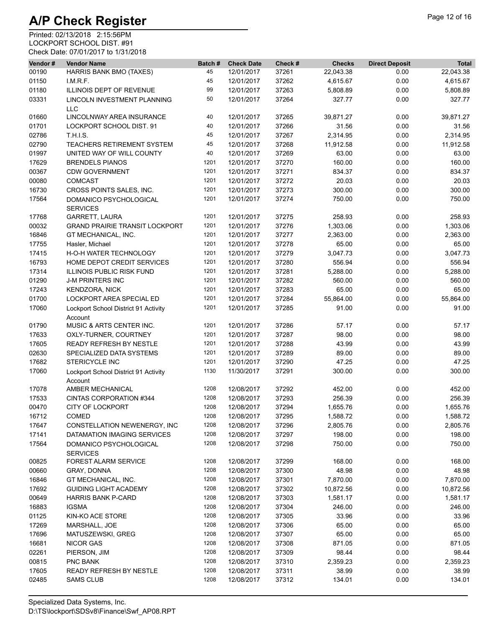| Vendor# | <b>Vendor Name</b>                              | Batch# | <b>Check Date</b> | Check # | <b>Checks</b> | <b>Direct Deposit</b> | <b>Total</b> |
|---------|-------------------------------------------------|--------|-------------------|---------|---------------|-----------------------|--------------|
| 00190   | HARRIS BANK BMO (TAXES)                         | 45     | 12/01/2017        | 37261   | 22,043.38     | 0.00                  | 22,043.38    |
| 01150   | I.M.R.F.                                        | 45     | 12/01/2017        | 37262   | 4,615.67      | 0.00                  | 4,615.67     |
| 01180   | ILLINOIS DEPT OF REVENUE                        | 99     | 12/01/2017        | 37263   | 5,808.89      | 0.00                  | 5,808.89     |
| 03331   | LINCOLN INVESTMENT PLANNING<br><b>LLC</b>       | 50     | 12/01/2017        | 37264   | 327.77        | 0.00                  | 327.77       |
| 01660   | LINCOLNWAY AREA INSURANCE                       | 40     | 12/01/2017        | 37265   | 39,871.27     | 0.00                  | 39,871.27    |
| 01701   | LOCKPORT SCHOOL DIST. 91                        | 40     | 12/01/2017        | 37266   | 31.56         | 0.00                  | 31.56        |
| 02786   | <b>T.H.I.S.</b>                                 | 45     | 12/01/2017        | 37267   | 2,314.95      | 0.00                  | 2,314.95     |
| 02790   | <b>TEACHERS RETIREMENT SYSTEM</b>               | 45     | 12/01/2017        | 37268   | 11,912.58     | 0.00                  | 11,912.58    |
| 01997   | UNITED WAY OF WILL COUNTY                       | 40     | 12/01/2017        | 37269   | 63.00         | 0.00                  | 63.00        |
| 17629   | <b>BRENDELS PIANOS</b>                          | 1201   | 12/01/2017        | 37270   | 160.00        | 0.00                  | 160.00       |
| 00367   | <b>CDW GOVERNMENT</b>                           | 1201   | 12/01/2017        | 37271   | 834.37        | 0.00                  | 834.37       |
| 00080   | <b>COMCAST</b>                                  | 1201   | 12/01/2017        | 37272   | 20.03         | 0.00                  | 20.03        |
| 16730   | CROSS POINTS SALES, INC.                        | 1201   | 12/01/2017        | 37273   | 300.00        | 0.00                  | 300.00       |
| 17564   | DOMANICO PSYCHOLOGICAL<br><b>SERVICES</b>       | 1201   | 12/01/2017        | 37274   | 750.00        | 0.00                  | 750.00       |
| 17768   | <b>GARRETT, LAURA</b>                           | 1201   | 12/01/2017        | 37275   | 258.93        | 0.00                  | 258.93       |
| 00032   | <b>GRAND PRAIRIE TRANSIT LOCKPORT</b>           | 1201   | 12/01/2017        | 37276   | 1,303.06      | 0.00                  | 1,303.06     |
| 16846   | GT MECHANICAL, INC.                             | 1201   | 12/01/2017        | 37277   | 2,363.00      | 0.00                  | 2,363.00     |
| 17755   | Hasler, Michael                                 | 1201   | 12/01/2017        | 37278   | 65.00         | 0.00                  | 65.00        |
| 17415   | H-O-H WATER TECHNOLOGY                          | 1201   | 12/01/2017        | 37279   | 3,047.73      | 0.00                  | 3,047.73     |
| 16793   | HOME DEPOT CREDIT SERVICES                      | 1201   | 12/01/2017        | 37280   | 556.94        | 0.00                  | 556.94       |
| 17314   | <b>ILLINOIS PUBLIC RISK FUND</b>                | 1201   | 12/01/2017        | 37281   | 5,288.00      | 0.00                  | 5,288.00     |
| 01290   | <b>J-M PRINTERS INC</b>                         | 1201   | 12/01/2017        | 37282   | 560.00        | 0.00                  | 560.00       |
| 17243   | <b>KENDZORA, NICK</b>                           | 1201   | 12/01/2017        | 37283   | 65.00         | 0.00                  | 65.00        |
| 01700   | LOCKPORT AREA SPECIAL ED                        | 1201   | 12/01/2017        | 37284   | 55,864.00     | 0.00                  | 55,864.00    |
| 17060   | Lockport School District 91 Activity<br>Account | 1201   | 12/01/2017        | 37285   | 91.00         | 0.00                  | 91.00        |
| 01790   | MUSIC & ARTS CENTER INC.                        | 1201   | 12/01/2017        | 37286   | 57.17         | 0.00                  | 57.17        |
| 17633   | OXLY-TURNER, COURTNEY                           | 1201   | 12/01/2017        | 37287   | 98.00         | 0.00                  | 98.00        |
| 17605   | READY REFRESH BY NESTLE                         | 1201   | 12/01/2017        | 37288   | 43.99         | 0.00                  | 43.99        |
| 02630   | SPECIALIZED DATA SYSTEMS                        | 1201   | 12/01/2017        | 37289   | 89.00         | 0.00                  | 89.00        |
| 17682   | <b>STERICYCLE INC</b>                           | 1201   | 12/01/2017        | 37290   | 47.25         | 0.00                  | 47.25        |
| 17060   | Lockport School District 91 Activity<br>Account | 1130   | 11/30/2017        | 37291   | 300.00        | 0.00                  | 300.00       |
| 17078   | AMBER MECHANICAL                                | 1208   | 12/08/2017        | 37292   | 452.00        | 0.00                  | 452.00       |
| 17533   | <b>CINTAS CORPORATION #344</b>                  | 1208   | 12/08/2017        | 37293   | 256.39        | 0.00                  | 256.39       |
| 00470   | <b>CITY OF LOCKPORT</b>                         | 1208   | 12/08/2017        | 37294   | 1,655.76      | 0.00                  | 1,655.76     |
| 16712   | COMED                                           | 1208   | 12/08/2017        | 37295   | 1,588.72      | 0.00                  | 1,588.72     |
| 17647   | CONSTELLATION NEWENERGY, INC                    | 1208   | 12/08/2017        | 37296   | 2,805.76      | 0.00                  | 2,805.76     |
| 17141   | DATAMATION IMAGING SERVICES                     | 1208   | 12/08/2017        | 37297   | 198.00        | 0.00                  | 198.00       |
| 17564   | DOMANICO PSYCHOLOGICAL<br><b>SERVICES</b>       | 1208   | 12/08/2017        | 37298   | 750.00        | 0.00                  | 750.00       |
| 00825   | <b>FOREST ALARM SERVICE</b>                     | 1208   | 12/08/2017        | 37299   | 168.00        | 0.00                  | 168.00       |
| 00660   | GRAY, DONNA                                     | 1208   | 12/08/2017        | 37300   | 48.98         | 0.00                  | 48.98        |
| 16846   | GT MECHANICAL, INC.                             | 1208   | 12/08/2017        | 37301   | 7,870.00      | 0.00                  | 7,870.00     |
| 17692   | <b>GUIDING LIGHT ACADEMY</b>                    | 1208   | 12/08/2017        | 37302   | 10,872.56     | 0.00                  | 10,872.56    |
| 00649   | <b>HARRIS BANK P-CARD</b>                       | 1208   | 12/08/2017        | 37303   | 1,581.17      | 0.00                  | 1,581.17     |
| 16883   | <b>IGSMA</b>                                    | 1208   | 12/08/2017        | 37304   | 246.00        | 0.00                  | 246.00       |
| 01125   | KIN-KO ACE STORE                                | 1208   | 12/08/2017        | 37305   | 33.96         | 0.00                  | 33.96        |
| 17269   | MARSHALL, JOE                                   | 1208   | 12/08/2017        | 37306   | 65.00         | 0.00                  | 65.00        |
| 17696   | MATUSZEWSKI, GREG                               | 1208   | 12/08/2017        | 37307   | 65.00         | 0.00                  | 65.00        |
| 16681   | <b>NICOR GAS</b>                                | 1208   | 12/08/2017        | 37308   | 871.05        | 0.00                  | 871.05       |
| 02261   | PIERSON, JIM                                    | 1208   | 12/08/2017        | 37309   | 98.44         | 0.00                  | 98.44        |
| 00815   | <b>PNC BANK</b>                                 | 1208   | 12/08/2017        | 37310   | 2,359.23      | 0.00                  | 2,359.23     |
| 17605   | READY REFRESH BY NESTLE                         | 1208   | 12/08/2017        | 37311   | 38.99         | 0.00                  | 38.99        |
| 02485   | <b>SAMS CLUB</b>                                | 1208   | 12/08/2017        | 37312   | 134.01        | 0.00                  | 134.01       |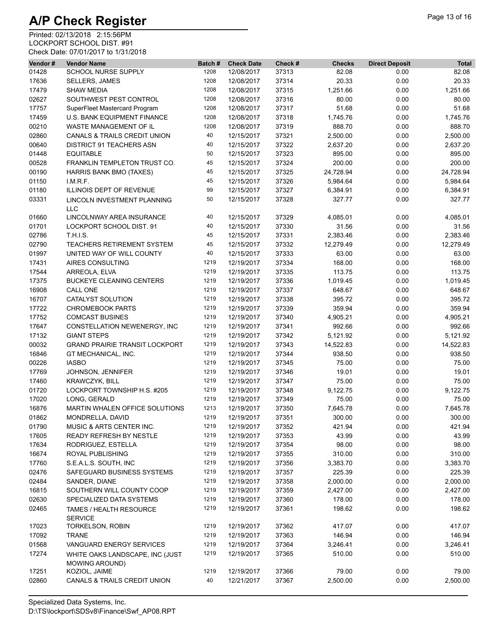| Vendor# | <b>Vendor Name</b>                                       | Batch# | <b>Check Date</b> | Check # | <b>Checks</b> | <b>Direct Deposit</b> | <b>Total</b> |
|---------|----------------------------------------------------------|--------|-------------------|---------|---------------|-----------------------|--------------|
| 01428   | <b>SCHOOL NURSE SUPPLY</b>                               | 1208   | 12/08/2017        | 37313   | 82.08         | 0.00                  | 82.08        |
| 17636   | <b>SELLERS, JAMES</b>                                    | 1208   | 12/08/2017        | 37314   | 20.33         | 0.00                  | 20.33        |
| 17479   | <b>SHAW MEDIA</b>                                        | 1208   | 12/08/2017        | 37315   | 1,251.66      | 0.00                  | 1,251.66     |
| 02627   | SOUTHWEST PEST CONTROL                                   | 1208   | 12/08/2017        | 37316   | 80.00         | 0.00                  | 80.00        |
| 17757   | SuperFleet Mastercard Program                            | 1208   | 12/08/2017        | 37317   | 51.68         | 0.00                  | 51.68        |
| 17459   | U.S. BANK EQUIPMENT FINANCE                              | 1208   | 12/08/2017        | 37318   | 1,745.76      | 0.00                  | 1,745.76     |
| 00210   | WASTE MANAGEMENT OF IL                                   | 1208   | 12/08/2017        | 37319   | 888.70        | 0.00                  | 888.70       |
| 02860   | <b>CANALS &amp; TRAILS CREDIT UNION</b>                  | 40     | 12/15/2017        | 37321   | 2,500.00      | 0.00                  | 2,500.00     |
| 00640   | <b>DISTRICT 91 TEACHERS ASN</b>                          | 40     | 12/15/2017        | 37322   | 2,637.20      | 0.00                  | 2,637.20     |
| 01448   | <b>EQUITABLE</b>                                         | 50     | 12/15/2017        | 37323   | 895.00        | 0.00                  | 895.00       |
| 00528   | FRANKLIN TEMPLETON TRUST CO.                             | 45     | 12/15/2017        | 37324   | 200.00        | 0.00                  | 200.00       |
| 00190   | <b>HARRIS BANK BMO (TAXES)</b>                           | 45     | 12/15/2017        | 37325   | 24,728.94     | 0.00                  | 24,728.94    |
| 01150   | LM.R.F.                                                  | 45     | 12/15/2017        | 37326   | 5,984.64      | 0.00                  | 5,984.64     |
| 01180   | ILLINOIS DEPT OF REVENUE                                 | 99     | 12/15/2017        | 37327   | 6,384.91      | 0.00                  | 6,384.91     |
| 03331   | LINCOLN INVESTMENT PLANNING                              | 50     | 12/15/2017        | 37328   | 327.77        | 0.00                  | 327.77       |
|         | <b>LLC</b>                                               |        |                   |         |               |                       |              |
| 01660   | LINCOLNWAY AREA INSURANCE                                | 40     | 12/15/2017        | 37329   | 4,085.01      | 0.00                  | 4,085.01     |
| 01701   | LOCKPORT SCHOOL DIST. 91                                 | 40     | 12/15/2017        | 37330   | 31.56         | 0.00                  | 31.56        |
| 02786   | T.H.I.S.                                                 | 45     | 12/15/2017        | 37331   | 2,383.46      | 0.00                  | 2,383.46     |
| 02790   | TEACHERS RETIREMENT SYSTEM                               | 45     | 12/15/2017        | 37332   | 12,279.49     | 0.00                  | 12,279.49    |
| 01997   | UNITED WAY OF WILL COUNTY                                | 40     | 12/15/2017        | 37333   | 63.00         | 0.00                  | 63.00        |
| 17431   | AIRES CONSULTING                                         | 1219   | 12/19/2017        | 37334   | 168.00        | 0.00                  | 168.00       |
| 17544   | ARREOLA, ELVA                                            | 1219   | 12/19/2017        | 37335   | 113.75        | 0.00                  | 113.75       |
| 17375   | <b>BUCKEYE CLEANING CENTERS</b>                          | 1219   | 12/19/2017        | 37336   | 1,019.45      | 0.00                  | 1,019.45     |
| 16908   | <b>CALL ONE</b>                                          | 1219   | 12/19/2017        | 37337   | 648.67        | 0.00                  | 648.67       |
| 16707   | CATALYST SOLUTION                                        | 1219   | 12/19/2017        | 37338   | 395.72        | 0.00                  | 395.72       |
| 17722   | <b>CHROMEBOOK PARTS</b>                                  | 1219   | 12/19/2017        | 37339   | 359.94        | 0.00                  | 359.94       |
| 17752   | <b>COMCAST BUSINES</b>                                   | 1219   | 12/19/2017        | 37340   | 4,905.21      | 0.00                  | 4,905.21     |
| 17647   | CONSTELLATION NEWENERGY, INC                             | 1219   | 12/19/2017        | 37341   | 992.66        | 0.00                  | 992.66       |
| 17132   | <b>GIANT STEPS</b>                                       | 1219   | 12/19/2017        | 37342   | 5,121.92      | 0.00                  | 5,121.92     |
| 00032   | <b>GRAND PRAIRIE TRANSIT LOCKPORT</b>                    | 1219   | 12/19/2017        | 37343   | 14,522.83     | 0.00                  | 14,522.83    |
| 16846   | GT MECHANICAL, INC.                                      | 1219   | 12/19/2017        | 37344   | 938.50        | 0.00                  | 938.50       |
| 00226   | <b>IASBO</b>                                             | 1219   | 12/19/2017        | 37345   | 75.00         | 0.00                  | 75.00        |
| 17769   | JOHNSON, JENNIFER                                        | 1219   | 12/19/2017        | 37346   | 19.01         | 0.00                  | 19.01        |
| 17460   | <b>KRAWCZYK, BILL</b>                                    | 1219   | 12/19/2017        | 37347   | 75.00         | 0.00                  | 75.00        |
| 01720   | LOCKPORT TOWNSHIP H.S. #205                              | 1219   | 12/19/2017        | 37348   | 9,122.75      | 0.00                  | 9,122.75     |
| 17020   | LONG, GERALD                                             | 1219   | 12/19/2017        | 37349   | 75.00         | 0.00                  | 75.00        |
| 16876   | MARTIN WHALEN OFFICE SOLUTIONS                           | 1213   | 12/19/2017        | 37350   | 7,645.78      | 0.00                  | 7,645.78     |
| 01862   | MONDRELLA, DAVID                                         | 1219   | 12/19/2017        | 37351   | 300.00        | 0.00                  | 300.00       |
| 01790   | MUSIC & ARTS CENTER INC.                                 | 1219   | 12/19/2017        | 37352   | 421.94        | 0.00                  | 421.94       |
| 17605   | READY REFRESH BY NESTLE                                  | 1219   | 12/19/2017        | 37353   | 43.99         | 0.00                  | 43.99        |
| 17634   | RODRIGUEZ, ESTELLA                                       | 1219   | 12/19/2017        | 37354   | 98.00         | 0.00                  | 98.00        |
| 16674   | ROYAL PUBLISHING                                         | 1219   | 12/19/2017        | 37355   | 310.00        | 0.00                  | 310.00       |
| 17760   | S.E.A.L.S. SOUTH, INC                                    | 1219   | 12/19/2017        | 37356   | 3,383.70      | 0.00                  | 3,383.70     |
| 02476   | SAFEGUARD BUSINESS SYSTEMS                               | 1219   | 12/19/2017        | 37357   | 225.39        | 0.00                  | 225.39       |
| 02484   | SANDER, DIANE                                            | 1219   | 12/19/2017        | 37358   | 2,000.00      | 0.00                  | 2,000.00     |
| 16815   | SOUTHERN WILL COUNTY COOP                                | 1219   | 12/19/2017        | 37359   | 2,427.00      | 0.00                  | 2,427.00     |
| 02630   | SPECIALIZED DATA SYSTEMS                                 | 1219   | 12/19/2017        | 37360   | 178.00        | 0.00                  | 178.00       |
| 02465   | TAMES / HEALTH RESOURCE                                  | 1219   | 12/19/2017        | 37361   | 198.62        | 0.00                  | 198.62       |
|         | <b>SERVICE</b>                                           |        |                   |         |               |                       |              |
| 17023   | <b>TORKELSON, ROBIN</b>                                  | 1219   | 12/19/2017        | 37362   | 417.07        | 0.00                  | 417.07       |
| 17092   | <b>TRANE</b>                                             | 1219   | 12/19/2017        | 37363   | 146.94        | 0.00                  | 146.94       |
| 01568   | VANGUARD ENERGY SERVICES                                 | 1219   | 12/19/2017        | 37364   | 3,246.41      | 0.00                  | 3,246.41     |
| 17274   | WHITE OAKS LANDSCAPE, INC (JUST<br><b>MOWING AROUND)</b> | 1219   | 12/19/2017        | 37365   | 510.00        | 0.00                  | 510.00       |
| 17251   | KOZIOL, JAIME                                            | 1219   | 12/19/2017        | 37366   | 79.00         | 0.00                  | 79.00        |
| 02860   | CANALS & TRAILS CREDIT UNION                             | 40     | 12/21/2017        | 37367   | 2,500.00      | 0.00                  | 2,500.00     |
|         |                                                          |        |                   |         |               |                       |              |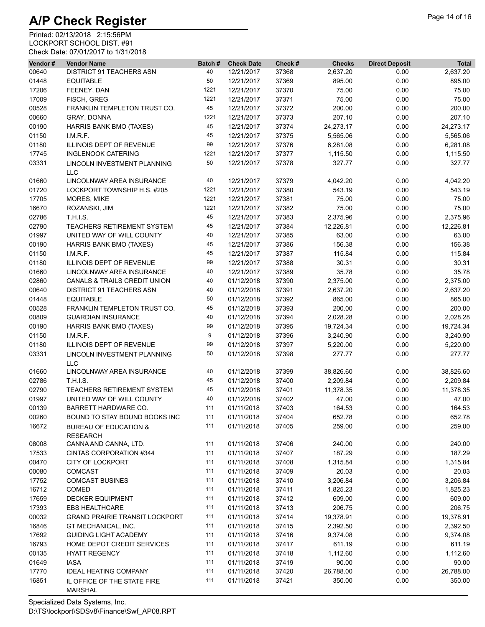| Vendor# | <b>Vendor Name</b>                                  | Batch# | <b>Check Date</b> | Check # | <b>Checks</b> | <b>Direct Deposit</b> | <b>Total</b> |
|---------|-----------------------------------------------------|--------|-------------------|---------|---------------|-----------------------|--------------|
| 00640   | DISTRICT 91 TEACHERS ASN                            | 40     | 12/21/2017        | 37368   | 2,637.20      | 0.00                  | 2,637.20     |
| 01448   | <b>EQUITABLE</b>                                    | 50     | 12/21/2017        | 37369   | 895.00        | 0.00                  | 895.00       |
| 17206   | FEENEY, DAN                                         | 1221   | 12/21/2017        | 37370   | 75.00         | 0.00                  | 75.00        |
| 17009   | FISCH, GREG                                         | 1221   | 12/21/2017        | 37371   | 75.00         | 0.00                  | 75.00        |
| 00528   | FRANKLIN TEMPLETON TRUST CO.                        | 45     | 12/21/2017        | 37372   | 200.00        | 0.00                  | 200.00       |
| 00660   | GRAY, DONNA                                         | 1221   | 12/21/2017        | 37373   | 207.10        | 0.00                  | 207.10       |
| 00190   | HARRIS BANK BMO (TAXES)                             | 45     | 12/21/2017        | 37374   | 24,273.17     | 0.00                  | 24,273.17    |
| 01150   | I.M.R.F.                                            | 45     | 12/21/2017        | 37375   | 5,565.06      | 0.00                  | 5,565.06     |
| 01180   | ILLINOIS DEPT OF REVENUE                            | 99     | 12/21/2017        | 37376   | 6,281.08      | 0.00                  | 6,281.08     |
| 17745   | <b>INGLENOOK CATERING</b>                           | 1221   | 12/21/2017        | 37377   | 1,115.50      | 0.00                  | 1,115.50     |
| 03331   | LINCOLN INVESTMENT PLANNING<br><b>LLC</b>           | 50     | 12/21/2017        | 37378   | 327.77        | 0.00                  | 327.77       |
| 01660   | LINCOLNWAY AREA INSURANCE                           | 40     | 12/21/2017        | 37379   | 4,042.20      | 0.00                  | 4,042.20     |
| 01720   | LOCKPORT TOWNSHIP H.S. #205                         | 1221   | 12/21/2017        | 37380   | 543.19        | 0.00                  | 543.19       |
| 17705   | MORES, MIKE                                         | 1221   | 12/21/2017        | 37381   | 75.00         | 0.00                  | 75.00        |
| 16670   | ROZANSKI, JIM                                       | 1221   | 12/21/2017        | 37382   | 75.00         | 0.00                  | 75.00        |
| 02786   | <b>T.H.I.S.</b>                                     | 45     | 12/21/2017        | 37383   | 2,375.96      | 0.00                  | 2,375.96     |
| 02790   | TEACHERS RETIREMENT SYSTEM                          | 45     | 12/21/2017        | 37384   | 12,226.81     | 0.00                  | 12,226.81    |
| 01997   | UNITED WAY OF WILL COUNTY                           | 40     | 12/21/2017        | 37385   | 63.00         | 0.00                  | 63.00        |
| 00190   | <b>HARRIS BANK BMO (TAXES)</b>                      | 45     | 12/21/2017        | 37386   | 156.38        | 0.00                  | 156.38       |
| 01150   | I.M.R.F.                                            | 45     | 12/21/2017        | 37387   | 115.84        | 0.00                  | 115.84       |
| 01180   | ILLINOIS DEPT OF REVENUE                            | 99     | 12/21/2017        | 37388   | 30.31         | 0.00                  | 30.31        |
|         | LINCOLNWAY AREA INSURANCE                           | 40     | 12/21/2017        | 37389   | 35.78         | 0.00                  | 35.78        |
| 01660   | <b>CANALS &amp; TRAILS CREDIT UNION</b>             | 40     | 01/12/2018        | 37390   |               |                       |              |
| 02860   | <b>DISTRICT 91 TEACHERS ASN</b>                     |        |                   |         | 2,375.00      | 0.00                  | 2,375.00     |
| 00640   |                                                     | 40     | 01/12/2018        | 37391   | 2,637.20      | 0.00                  | 2,637.20     |
| 01448   | <b>EQUITABLE</b>                                    | 50     | 01/12/2018        | 37392   | 865.00        | 0.00                  | 865.00       |
| 00528   | FRANKLIN TEMPLETON TRUST CO.                        | 45     | 01/12/2018        | 37393   | 200.00        | 0.00                  | 200.00       |
| 00809   | <b>GUARDIAN INSURANCE</b>                           | 40     | 01/12/2018        | 37394   | 2,028.28      | 0.00                  | 2,028.28     |
| 00190   | <b>HARRIS BANK BMO (TAXES)</b>                      | 99     | 01/12/2018        | 37395   | 19,724.34     | 0.00                  | 19,724.34    |
| 01150   | I.M.R.F.                                            | 9      | 01/12/2018        | 37396   | 3,240.90      | 0.00                  | 3,240.90     |
| 01180   | ILLINOIS DEPT OF REVENUE                            | 99     | 01/12/2018        | 37397   | 5,220.00      | 0.00                  | 5,220.00     |
| 03331   | LINCOLN INVESTMENT PLANNING<br><b>LLC</b>           | 50     | 01/12/2018        | 37398   | 277.77        | 0.00                  | 277.77       |
| 01660   | LINCOLNWAY AREA INSURANCE                           | 40     | 01/12/2018        | 37399   | 38,826.60     | 0.00                  | 38,826.60    |
| 02786   | <b>T.H.I.S.</b>                                     | 45     | 01/12/2018        | 37400   | 2,209.84      | 0.00                  | 2,209.84     |
| 02790   | <b>TEACHERS RETIREMENT SYSTEM</b>                   | 45     | 01/12/2018        | 37401   | 11,378.35     | 0.00                  | 11,378.35    |
| 01997   | UNITED WAY OF WILL COUNTY                           | 40     | 01/12/2018        | 37402   | 47.00         | 0.00                  | 47.00        |
| 00139   | BARRETT HARDWARE CO.                                | 111    | 01/11/2018        | 37403   | 164.53        | 0.00                  | 164.53       |
| 00260   | BOUND TO STAY BOUND BOOKS INC                       | 111    | 01/11/2018        | 37404   | 652.78        | 0.00                  | 652.78       |
| 16672   | <b>BUREAU OF EDUCATION &amp;</b><br><b>RESEARCH</b> | 111    | 01/11/2018        | 37405   | 259.00        | 0.00                  | 259.00       |
| 08008   | CANNA AND CANNA, LTD.                               | 111    | 01/11/2018        | 37406   | 240.00        | 0.00                  | 240.00       |
| 17533   | CINTAS CORPORATION #344                             | 111    | 01/11/2018        | 37407   | 187.29        | 0.00                  | 187.29       |
| 00470   | <b>CITY OF LOCKPORT</b>                             | 111    | 01/11/2018        | 37408   | 1,315.84      | 0.00                  | 1,315.84     |
| 00080   | <b>COMCAST</b>                                      | 111    | 01/11/2018        | 37409   | 20.03         | 0.00                  | 20.03        |
| 17752   | <b>COMCAST BUSINES</b>                              | 111    | 01/11/2018        | 37410   | 3,206.84      | 0.00                  | 3,206.84     |
| 16712   | <b>COMED</b>                                        | 111    | 01/11/2018        | 37411   | 1,825.23      | 0.00                  | 1,825.23     |
| 17659   | <b>DECKER EQUIPMENT</b>                             | 111    | 01/11/2018        | 37412   | 609.00        | 0.00                  | 609.00       |
| 17393   | <b>EBS HEALTHCARE</b>                               | 111    | 01/11/2018        | 37413   | 206.75        | 0.00                  | 206.75       |
| 00032   | <b>GRAND PRAIRIE TRANSIT LOCKPORT</b>               | 111    | 01/11/2018        | 37414   | 19,378.91     | 0.00                  | 19,378.91    |
| 16846   | GT MECHANICAL, INC.                                 | 111    | 01/11/2018        | 37415   | 2,392.50      | 0.00                  | 2,392.50     |
|         |                                                     | 111    |                   |         |               |                       |              |
| 17692   | <b>GUIDING LIGHT ACADEMY</b>                        |        | 01/11/2018        | 37416   | 9,374.08      | 0.00                  | 9,374.08     |
| 16793   | HOME DEPOT CREDIT SERVICES                          | 111    | 01/11/2018        | 37417   | 611.19        | 0.00                  | 611.19       |
| 00135   | <b>HYATT REGENCY</b>                                | 111    | 01/11/2018        | 37418   | 1,112.60      | 0.00                  | 1,112.60     |
| 01649   | <b>IASA</b>                                         | 111    | 01/11/2018        | 37419   | 90.00         | 0.00                  | 90.00        |
| 17770   | <b>IDEAL HEATING COMPANY</b>                        | 111    | 01/11/2018        | 37420   | 26,788.00     | 0.00                  | 26,788.00    |
| 16851   | IL OFFICE OF THE STATE FIRE<br><b>MARSHAL</b>       | 111    | 01/11/2018        | 37421   | 350.00        | 0.00                  | 350.00       |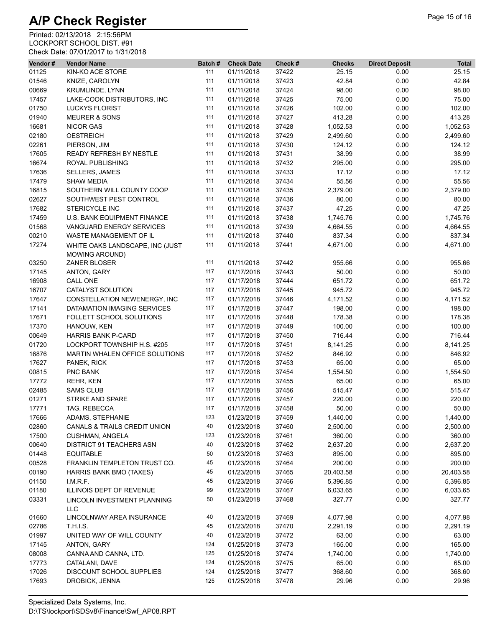| Vendor# | <b>Vendor Name</b>                                       | Batch# | <b>Check Date</b> | Check # | <b>Checks</b> | <b>Direct Deposit</b> | <b>Total</b> |
|---------|----------------------------------------------------------|--------|-------------------|---------|---------------|-----------------------|--------------|
| 01125   | KIN-KO ACE STORE                                         | 111    | 01/11/2018        | 37422   | 25.15         | 0.00                  | 25.15        |
| 01546   | KNIZE, CAROLYN                                           | 111    | 01/11/2018        | 37423   | 42.84         | 0.00                  | 42.84        |
| 00669   | <b>KRUMLINDE, LYNN</b>                                   | 111    | 01/11/2018        | 37424   | 98.00         | 0.00                  | 98.00        |
| 17457   | LAKE-COOK DISTRIBUTORS, INC                              | 111    | 01/11/2018        | 37425   | 75.00         | 0.00                  | 75.00        |
| 01750   | <b>LUCKYS FLORIST</b>                                    | 111    | 01/11/2018        | 37426   | 102.00        | 0.00                  | 102.00       |
| 01940   | <b>MEURER &amp; SONS</b>                                 | 111    | 01/11/2018        | 37427   | 413.28        | 0.00                  | 413.28       |
| 16681   | <b>NICOR GAS</b>                                         | 111    | 01/11/2018        | 37428   | 1,052.53      | 0.00                  | 1,052.53     |
| 02180   | <b>OESTREICH</b>                                         | 111    | 01/11/2018        | 37429   | 2,499.60      | 0.00                  | 2,499.60     |
| 02261   | PIERSON, JIM                                             | 111    | 01/11/2018        | 37430   | 124.12        | 0.00                  | 124.12       |
| 17605   | READY REFRESH BY NESTLE                                  | 111    | 01/11/2018        | 37431   | 38.99         | 0.00                  | 38.99        |
| 16674   | ROYAL PUBLISHING                                         | 111    | 01/11/2018        | 37432   | 295.00        | 0.00                  | 295.00       |
| 17636   | <b>SELLERS, JAMES</b>                                    | 111    | 01/11/2018        | 37433   | 17.12         | 0.00                  | 17.12        |
| 17479   | <b>SHAW MEDIA</b>                                        | 111    | 01/11/2018        | 37434   | 55.56         | 0.00                  | 55.56        |
| 16815   | SOUTHERN WILL COUNTY COOP                                | 111    | 01/11/2018        | 37435   | 2,379.00      | 0.00                  | 2,379.00     |
| 02627   | SOUTHWEST PEST CONTROL                                   | 111    | 01/11/2018        | 37436   | 80.00         | 0.00                  | 80.00        |
| 17682   | STERICYCLE INC                                           | 111    | 01/11/2018        | 37437   | 47.25         | 0.00                  | 47.25        |
| 17459   | <b>U.S. BANK EQUIPMENT FINANCE</b>                       | 111    | 01/11/2018        | 37438   | 1,745.76      | 0.00                  | 1,745.76     |
|         |                                                          | 111    |                   | 37439   |               |                       | 4,664.55     |
| 01568   | VANGUARD ENERGY SERVICES                                 | 111    | 01/11/2018        |         | 4,664.55      | 0.00                  |              |
| 00210   | WASTE MANAGEMENT OF IL                                   |        | 01/11/2018        | 37440   | 837.34        | 0.00                  | 837.34       |
| 17274   | WHITE OAKS LANDSCAPE, INC (JUST<br><b>MOWING AROUND)</b> | 111    | 01/11/2018        | 37441   | 4,671.00      | 0.00                  | 4,671.00     |
| 03250   | ZANER BLOSER                                             | 111    | 01/11/2018        | 37442   | 955.66        | 0.00                  | 955.66       |
| 17145   | ANTON, GARY                                              | 117    | 01/17/2018        | 37443   | 50.00         | 0.00                  | 50.00        |
| 16908   | CALL ONE                                                 | 117    | 01/17/2018        | 37444   | 651.72        | 0.00                  | 651.72       |
| 16707   | CATALYST SOLUTION                                        | 117    | 01/17/2018        | 37445   | 945.72        | 0.00                  | 945.72       |
| 17647   | CONSTELLATION NEWENERGY, INC                             | 117    | 01/17/2018        | 37446   | 4,171.52      | 0.00                  | 4,171.52     |
| 17141   | DATAMATION IMAGING SERVICES                              | 117    | 01/17/2018        | 37447   | 198.00        | 0.00                  | 198.00       |
| 17671   | FOLLETT SCHOOL SOLUTIONS                                 | 117    | 01/17/2018        | 37448   | 178.38        | 0.00                  | 178.38       |
| 17370   | HANOUW, KEN                                              | 117    | 01/17/2018        | 37449   | 100.00        | 0.00                  | 100.00       |
| 00649   | <b>HARRIS BANK P-CARD</b>                                | 117    | 01/17/2018        | 37450   | 716.44        | 0.00                  | 716.44       |
| 01720   | LOCKPORT TOWNSHIP H.S. #205                              | 117    | 01/17/2018        | 37451   | 8,141.25      | 0.00                  | 8,141.25     |
| 16876   | MARTIN WHALEN OFFICE SOLUTIONS                           | 117    | 01/17/2018        | 37452   | 846.92        | 0.00                  | 846.92       |
| 17627   | PANEK, RICK                                              | 117    | 01/17/2018        | 37453   | 65.00         | 0.00                  | 65.00        |
| 00815   | PNC BANK                                                 | 117    | 01/17/2018        | 37454   | 1,554.50      | 0.00                  | 1,554.50     |
| 17772   | <b>REHR, KEN</b>                                         | 117    | 01/17/2018        | 37455   | 65.00         | 0.00                  | 65.00        |
| 02485   | <b>SAMS CLUB</b>                                         | 117    | 01/17/2018        | 37456   | 515.47        | 0.00                  | 515.47       |
| 01271   | STRIKE AND SPARE                                         | 117    | 01/17/2018        | 37457   | 220.00        | 0.00                  | 220.00       |
| 17771   | TAG, REBECCA                                             | 117    | 01/17/2018        | 37458   | 50.00         | 0.00                  | 50.00        |
| 17666   | ADAMS, STEPHANIE                                         | 123    | 01/23/2018        | 37459   | 1,440.00      | 0.00                  | 1,440.00     |
| 02860   | CANALS & TRAILS CREDIT UNION                             | 40     | 01/23/2018        | 37460   | 2,500.00      | 0.00                  | 2,500.00     |
| 17500   | <b>CUSHMAN, ANGELA</b>                                   | 123    | 01/23/2018        | 37461   | 360.00        | 0.00                  | 360.00       |
| 00640   | <b>DISTRICT 91 TEACHERS ASN</b>                          | 40     | 01/23/2018        | 37462   | 2,637.20      | 0.00                  | 2,637.20     |
| 01448   | <b>EQUITABLE</b>                                         | 50     | 01/23/2018        | 37463   | 895.00        | 0.00                  | 895.00       |
| 00528   | FRANKLIN TEMPLETON TRUST CO.                             | 45     | 01/23/2018        | 37464   | 200.00        | 0.00                  | 200.00       |
| 00190   | HARRIS BANK BMO (TAXES)                                  | 45     | 01/23/2018        | 37465   | 20,403.58     | 0.00                  | 20,403.58    |
| 01150   | I.M.R.F.                                                 | 45     | 01/23/2018        | 37466   | 5,396.85      | 0.00                  | 5,396.85     |
| 01180   | ILLINOIS DEPT OF REVENUE                                 | 99     | 01/23/2018        | 37467   | 6,033.65      | 0.00                  | 6,033.65     |
| 03331   | LINCOLN INVESTMENT PLANNING                              | 50     | 01/23/2018        | 37468   | 327.77        | 0.00                  | 327.77       |
|         | <b>LLC</b>                                               |        |                   |         |               |                       |              |
| 01660   | LINCOLNWAY AREA INSURANCE                                | 40     | 01/23/2018        | 37469   | 4,077.98      | 0.00                  | 4,077.98     |
| 02786   | <b>T.H.I.S.</b>                                          | 45     | 01/23/2018        | 37470   | 2,291.19      | 0.00                  | 2,291.19     |
| 01997   | UNITED WAY OF WILL COUNTY                                | 40     | 01/23/2018        | 37472   | 63.00         | 0.00                  | 63.00        |
| 17145   | ANTON, GARY                                              | 124    | 01/25/2018        | 37473   | 165.00        | 0.00                  | 165.00       |
| 08008   | CANNA AND CANNA, LTD.                                    | 125    | 01/25/2018        | 37474   | 1,740.00      | 0.00                  | 1,740.00     |
| 17773   | CATALANI, DAVE                                           | 124    | 01/25/2018        | 37475   | 65.00         | 0.00                  | 65.00        |
| 17026   | DISCOUNT SCHOOL SUPPLIES                                 | 124    | 01/25/2018        | 37477   | 368.60        | 0.00                  | 368.60       |
| 17693   | DROBICK, JENNA                                           | 125    | 01/25/2018        | 37478   | 29.96         | 0.00                  | 29.96        |
|         |                                                          |        |                   |         |               |                       |              |